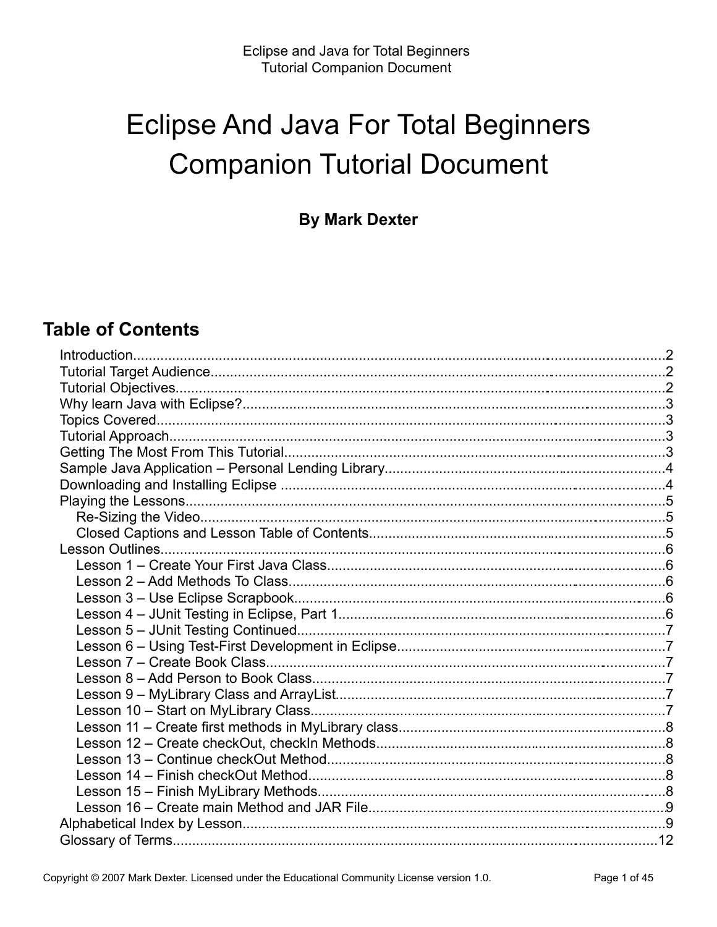## **Eclipse And Java For Total Beginners Companion Tutorial Document**

**By Mark Dexter** 

### **Table of Contents**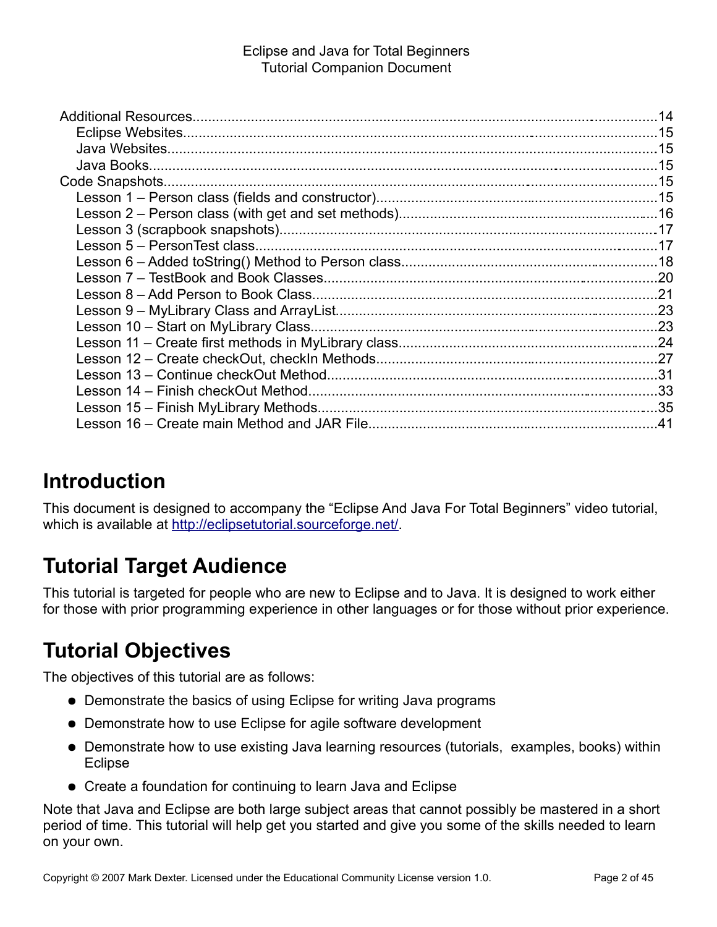## **Introduction**

This document is designed to accompany the "Eclipse And Java For Total Beginners" video tutorial, which is available at [http://eclipsetutorial.sourceforge.net/.](http://eclipsetutorial.sourceforge.net/)

## **Tutorial Target Audience**

This tutorial is targeted for people who are new to Eclipse and to Java. It is designed to work either for those with prior programming experience in other languages or for those without prior experience.

## **Tutorial Objectives**

The objectives of this tutorial are as follows:

- Demonstrate the basics of using Eclipse for writing Java programs
- Demonstrate how to use Eclipse for agile software development
- Demonstrate how to use existing Java learning resources (tutorials, examples, books) within **Eclipse**
- Create a foundation for continuing to learn Java and Eclipse

Note that Java and Eclipse are both large subject areas that cannot possibly be mastered in a short period of time. This tutorial will help get you started and give you some of the skills needed to learn on your own.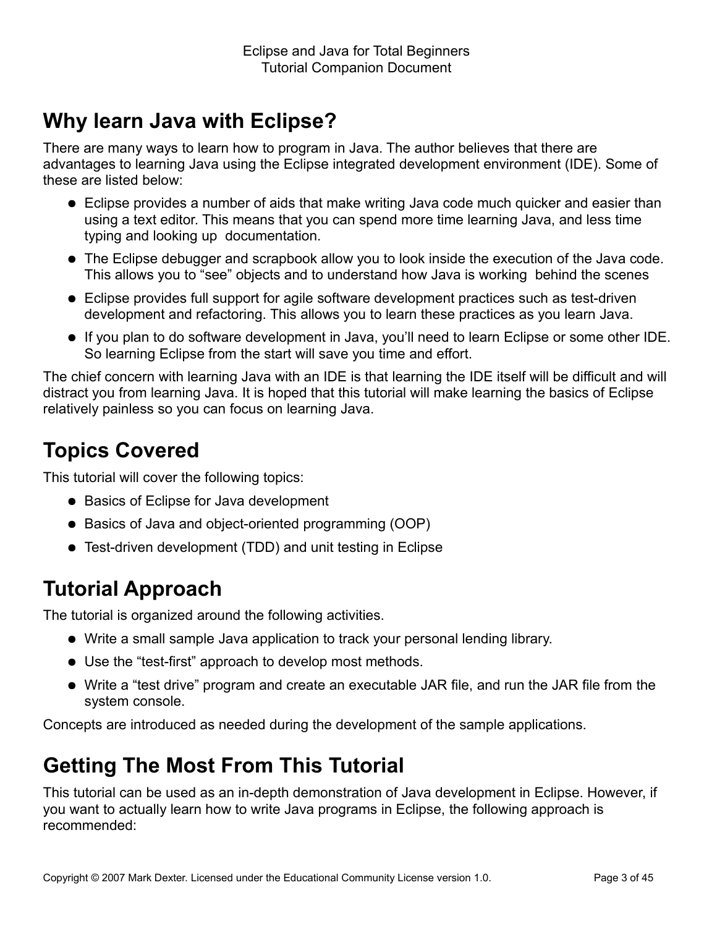## **Why learn Java with Eclipse?**

There are many ways to learn how to program in Java. The author believes that there are advantages to learning Java using the Eclipse integrated development environment (IDE). Some of these are listed below:

- Eclipse provides a number of aids that make writing Java code much quicker and easier than using a text editor. This means that you can spend more time learning Java, and less time typing and looking up documentation.
- The Eclipse debugger and scrapbook allow you to look inside the execution of the Java code. This allows you to "see" objects and to understand how Java is working behind the scenes
- Eclipse provides full support for agile software development practices such as test-driven development and refactoring. This allows you to learn these practices as you learn Java.
- If you plan to do software development in Java, you'll need to learn Eclipse or some other IDE. So learning Eclipse from the start will save you time and effort.

The chief concern with learning Java with an IDE is that learning the IDE itself will be difficult and will distract you from learning Java. It is hoped that this tutorial will make learning the basics of Eclipse relatively painless so you can focus on learning Java.

## **Topics Covered**

This tutorial will cover the following topics:

- Basics of Eclipse for Java development
- Basics of Java and object-oriented programming (OOP)
- Test-driven development (TDD) and unit testing in Eclipse

## **Tutorial Approach**

The tutorial is organized around the following activities.

- Write a small sample Java application to track your personal lending library.
- Use the "test-first" approach to develop most methods.
- Write a "test drive" program and create an executable JAR file, and run the JAR file from the system console.

Concepts are introduced as needed during the development of the sample applications.

## **Getting The Most From This Tutorial**

This tutorial can be used as an in-depth demonstration of Java development in Eclipse. However, if you want to actually learn how to write Java programs in Eclipse, the following approach is recommended: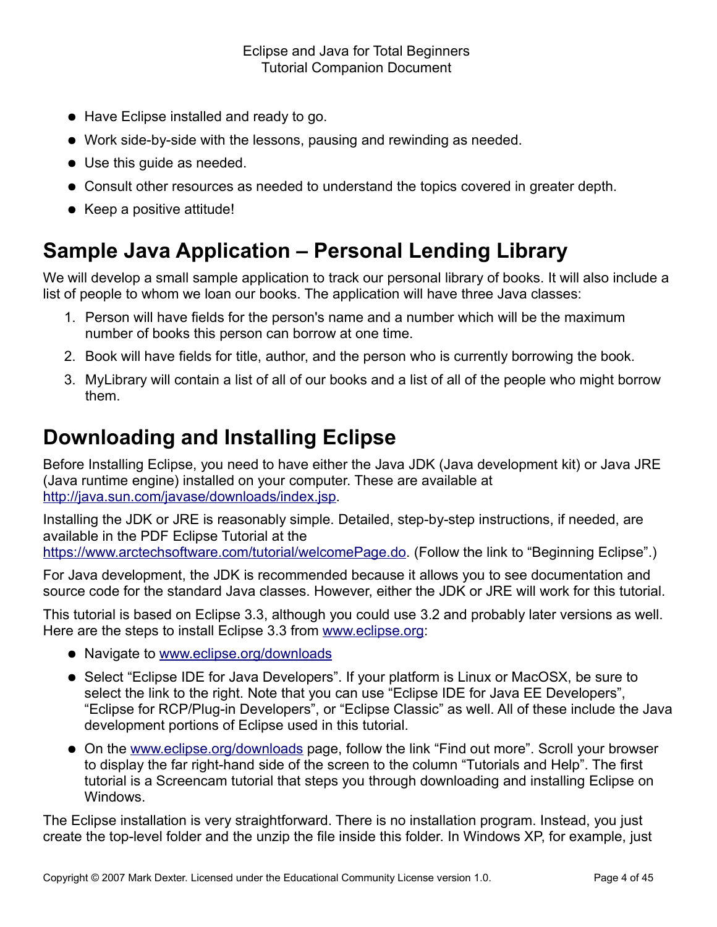- Have Eclipse installed and ready to go.
- Work side-by-side with the lessons, pausing and rewinding as needed.
- Use this guide as needed.
- Consult other resources as needed to understand the topics covered in greater depth.
- Keep a positive attitude!

## **Sample Java Application – Personal Lending Library**

We will develop a small sample application to track our personal library of books. It will also include a list of people to whom we loan our books. The application will have three Java classes:

- 1. Person will have fields for the person's name and a number which will be the maximum number of books this person can borrow at one time.
- 2. Book will have fields for title, author, and the person who is currently borrowing the book.
- 3. MyLibrary will contain a list of all of our books and a list of all of the people who might borrow them.

## **Downloading and Installing Eclipse**

Before Installing Eclipse, you need to have either the Java JDK (Java development kit) or Java JRE (Java runtime engine) installed on your computer. These are available at [http://java.sun.com/javase/downloads/index.jsp.](http://java.sun.com/javase/downloads/index.jsp)

Installing the JDK or JRE is reasonably simple. Detailed, step-by-step instructions, if needed, are available in the PDF Eclipse Tutorial at the [https://www.arctechsoftware.com/tutorial/welcomePage.do.](https://www.arctechsoftware.com/tutorial/welcomePage.do) (Follow the link to "Beginning Eclipse".)

For Java development, the JDK is recommended because it allows you to see documentation and source code for the standard Java classes. However, either the JDK or JRE will work for this tutorial.

This tutorial is based on Eclipse 3.3, although you could use 3.2 and probably later versions as well. Here are the steps to install Eclipse 3.3 from [www.eclipse.org:](http://www.eclipse.org/)

- Navigate to [www.eclipse.org/downloads](http://www.eclipse.org/downloads)
- Select "Eclipse IDE for Java Developers". If your platform is Linux or MacOSX, be sure to select the link to the right. Note that you can use "Eclipse IDE for Java EE Developers", "Eclipse for RCP/Plug-in Developers", or "Eclipse Classic" as well. All of these include the Java development portions of Eclipse used in this tutorial.
- On the [www.eclipse.org/downloads](http://www.eclipse.org/downloads) page, follow the link "Find out more". Scroll your browser to display the far right-hand side of the screen to the column "Tutorials and Help". The first tutorial is a Screencam tutorial that steps you through downloading and installing Eclipse on Windows.

The Eclipse installation is very straightforward. There is no installation program. Instead, you just create the top-level folder and the unzip the file inside this folder. In Windows XP, for example, just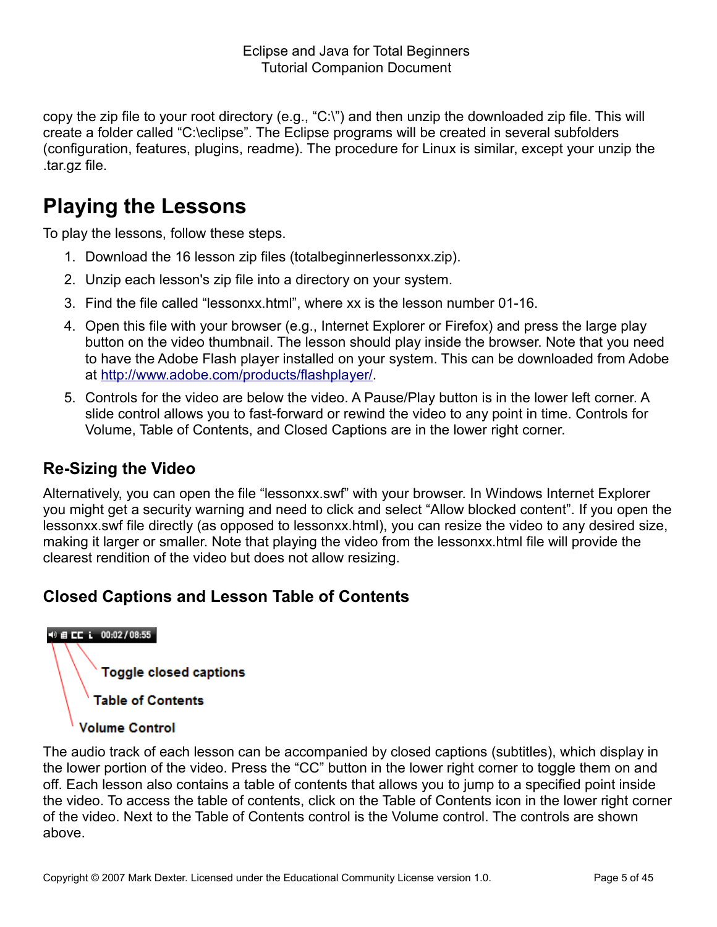copy the zip file to your root directory (e.g., "C:\") and then unzip the downloaded zip file. This will create a folder called "C:\eclipse". The Eclipse programs will be created in several subfolders (configuration, features, plugins, readme). The procedure for Linux is similar, except your unzip the .tar.gz file.

## **Playing the Lessons**

To play the lessons, follow these steps.

- 1. Download the 16 lesson zip files (totalbeginnerlessonxx.zip).
- 2. Unzip each lesson's zip file into a directory on your system.
- 3. Find the file called "lessonxx.html", where xx is the lesson number 01-16.
- 4. Open this file with your browser (e.g., Internet Explorer or Firefox) and press the large play button on the video thumbnail. The lesson should play inside the browser. Note that you need to have the Adobe Flash player installed on your system. This can be downloaded from Adobe at [http://www.adobe.com/products/flashplayer/.](http://www.adobe.com/products/flashplayer/)
- 5. Controls for the video are below the video. A Pause/Play button is in the lower left corner. A slide control allows you to fast-forward or rewind the video to any point in time. Controls for Volume, Table of Contents, and Closed Captions are in the lower right corner.

### **Re-Sizing the Video**

Alternatively, you can open the file "lessonxx.swf" with your browser. In Windows Internet Explorer you might get a security warning and need to click and select "Allow blocked content". If you open the lessonxx.swf file directly (as opposed to lessonxx.html), you can resize the video to any desired size, making it larger or smaller. Note that playing the video from the lessonxx.html file will provide the clearest rendition of the video but does not allow resizing.

### **Closed Captions and Lesson Table of Contents**

## +0 自 **CC i** 00:02/08:55

**Toggle closed captions** 

**Table of Contents** 

### **Volume Control**

The audio track of each lesson can be accompanied by closed captions (subtitles), which display in the lower portion of the video. Press the "CC" button in the lower right corner to toggle them on and off. Each lesson also contains a table of contents that allows you to jump to a specified point inside the video. To access the table of contents, click on the Table of Contents icon in the lower right corner of the video. Next to the Table of Contents control is the Volume control. The controls are shown above.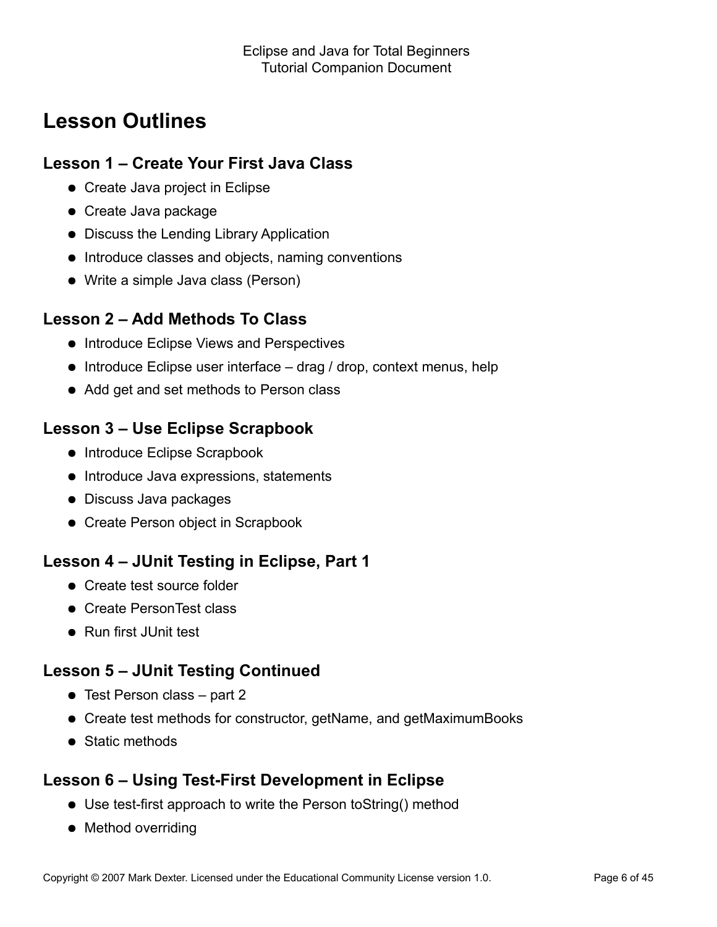## **Lesson Outlines**

### **Lesson 1 – Create Your First Java Class**

- Create Java project in Eclipse
- Create Java package
- Discuss the Lending Library Application
- Introduce classes and objects, naming conventions
- Write a simple Java class (Person)

### **Lesson 2 – Add Methods To Class**

- **Introduce Eclipse Views and Perspectives**
- $\bullet$  Introduce Eclipse user interface drag / drop, context menus, help
- Add get and set methods to Person class

### **Lesson 3 – Use Eclipse Scrapbook**

- Introduce Eclipse Scrapbook
- Introduce Java expressions, statements
- Discuss Java packages
- Create Person object in Scrapbook

### **Lesson 4 – JUnit Testing in Eclipse, Part 1**

- Create test source folder
- Create PersonTest class
- Run first JUnit test

### **Lesson 5 – JUnit Testing Continued**

- Test Person class part 2
- Create test methods for constructor, getName, and getMaximumBooks
- Static methods

### **Lesson 6 – Using Test-First Development in Eclipse**

- Use test-first approach to write the Person toString() method
- Method overriding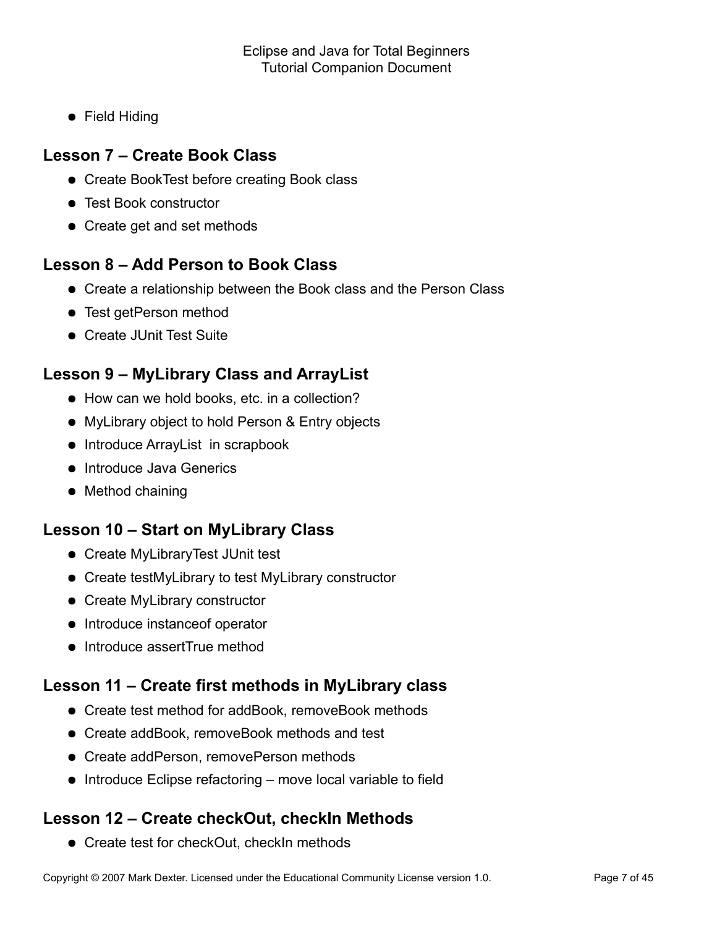**•** Field Hiding

### **Lesson 7 – Create Book Class**

- Create BookTest before creating Book class
- Test Book constructor
- Create get and set methods

### **Lesson 8 – Add Person to Book Class**

- Create a relationship between the Book class and the Person Class
- **•** Test getPerson method
- Create JUnit Test Suite

### **Lesson 9 – MyLibrary Class and ArrayList**

- How can we hold books, etc. in a collection?
- MyLibrary object to hold Person & Entry objects
- Introduce ArrayList in scrapbook
- **•** Introduce Java Generics
- Method chaining

### **Lesson 10 – Start on MyLibrary Class**

- Create MyLibraryTest JUnit test
- Create testMyLibrary to test MyLibrary constructor
- Create MyLibrary constructor
- Introduce instance of operator
- Introduce assertTrue method

### **Lesson 11 – Create first methods in MyLibrary class**

- Create test method for addBook, removeBook methods
- Create addBook, removeBook methods and test
- Create addPerson, removePerson methods
- $\bullet$  Introduce Eclipse refactoring move local variable to field

### **Lesson 12 – Create checkOut, checkIn Methods**

• Create test for checkOut, checkIn methods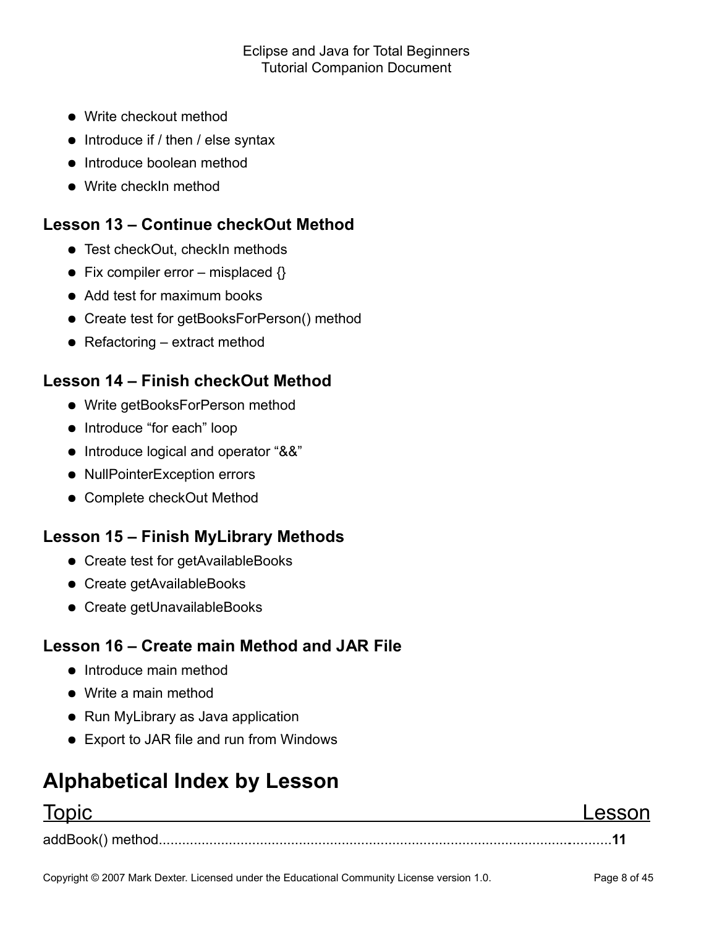- Write checkout method
- $\bullet$  Introduce if / then / else syntax
- Introduce boolean method
- Write checkIn method

### **Lesson 13 – Continue checkOut Method**

- Test checkOut, checkIn methods
- Fix compiler error misplaced  $\{\}$
- Add test for maximum books
- Create test for getBooksForPerson() method
- $\bullet$  Refactoring extract method

### **Lesson 14 – Finish checkOut Method**

- Write getBooksForPerson method
- Introduce "for each" loop
- Introduce logical and operator "&&"
- NullPointerException errors
- Complete checkOut Method

### **Lesson 15 – Finish MyLibrary Methods**

- Create test for getAvailableBooks
- Create getAvailableBooks
- Create getUnavailableBooks

### **Lesson 16 – Create main Method and JAR File**

- Introduce main method
- Write a main method
- Run MyLibrary as Java application
- Export to JAR file and run from Windows

## **Alphabetical Index by Lesson**

### Topic Lesson

addBook() method.....................................................................................................................**11**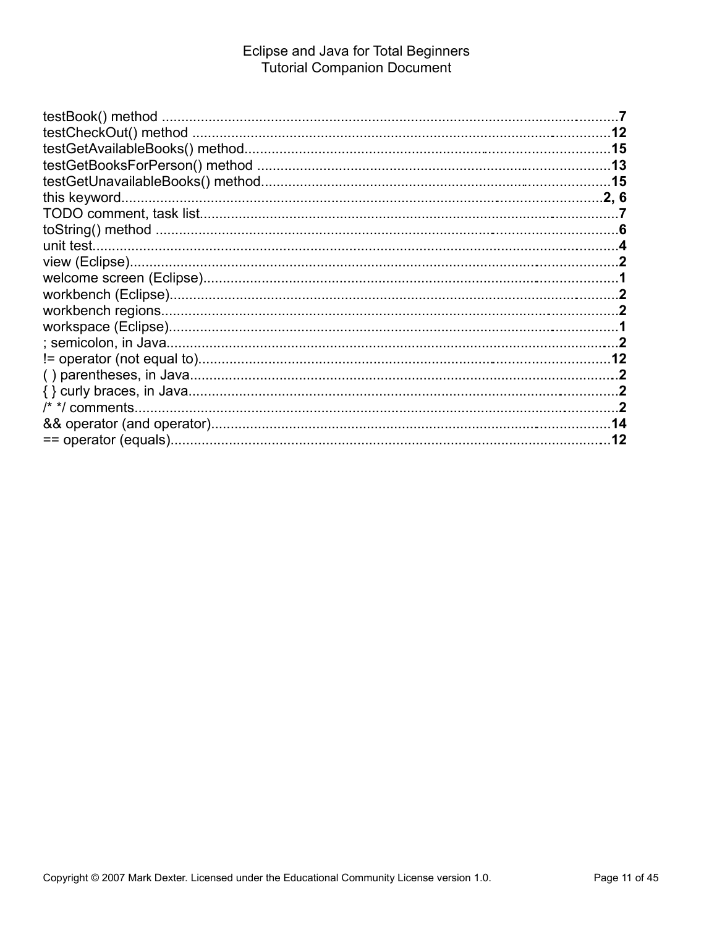|                   | .15 |
|-------------------|-----|
|                   |     |
|                   |     |
|                   |     |
|                   |     |
|                   |     |
|                   |     |
|                   |     |
|                   |     |
|                   |     |
|                   |     |
|                   |     |
|                   |     |
|                   |     |
| $/*$ */ comments. |     |
|                   |     |
|                   |     |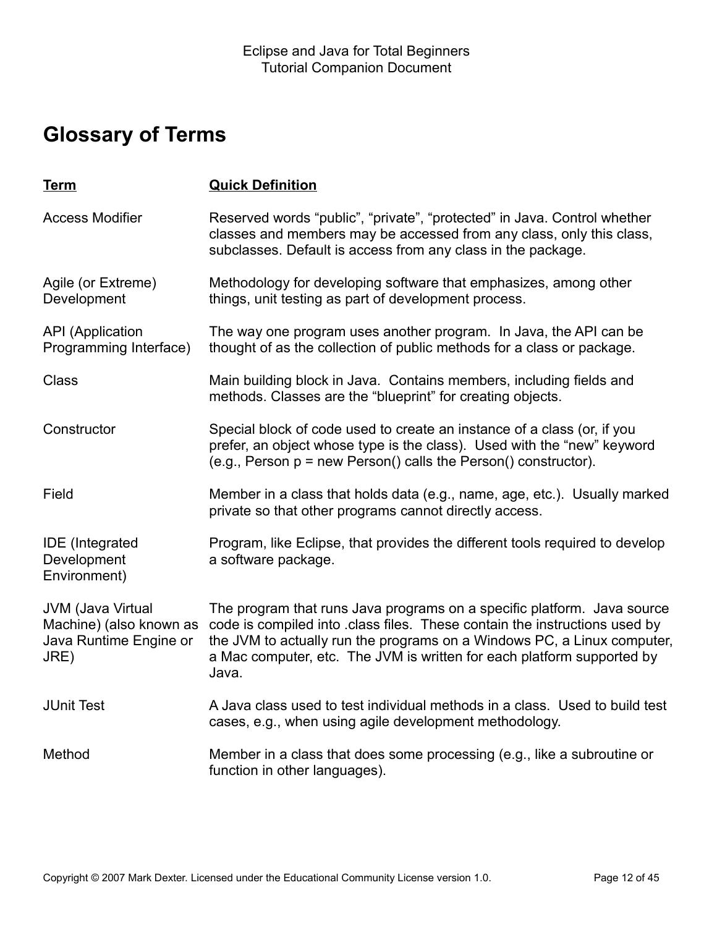## **Glossary of Terms**

| <u>Term</u>                                                                    | <b>Quick Definition</b>                                                                                                                                                                                                                                                                                            |
|--------------------------------------------------------------------------------|--------------------------------------------------------------------------------------------------------------------------------------------------------------------------------------------------------------------------------------------------------------------------------------------------------------------|
| <b>Access Modifier</b>                                                         | Reserved words "public", "private", "protected" in Java. Control whether<br>classes and members may be accessed from any class, only this class,<br>subclasses. Default is access from any class in the package.                                                                                                   |
| Agile (or Extreme)<br>Development                                              | Methodology for developing software that emphasizes, among other<br>things, unit testing as part of development process.                                                                                                                                                                                           |
| <b>API</b> (Application<br>Programming Interface)                              | The way one program uses another program. In Java, the API can be<br>thought of as the collection of public methods for a class or package.                                                                                                                                                                        |
| <b>Class</b>                                                                   | Main building block in Java. Contains members, including fields and<br>methods. Classes are the "blueprint" for creating objects.                                                                                                                                                                                  |
| Constructor                                                                    | Special block of code used to create an instance of a class (or, if you<br>prefer, an object whose type is the class). Used with the "new" keyword<br>(e.g., Person p = new Person() calls the Person() constructor).                                                                                              |
| Field                                                                          | Member in a class that holds data (e.g., name, age, etc.). Usually marked<br>private so that other programs cannot directly access.                                                                                                                                                                                |
| <b>IDE</b> (Integrated<br>Development<br>Environment)                          | Program, like Eclipse, that provides the different tools required to develop<br>a software package.                                                                                                                                                                                                                |
| JVM (Java Virtual<br>Machine) (also known as<br>Java Runtime Engine or<br>JRE) | The program that runs Java programs on a specific platform. Java source<br>code is compiled into class files. These contain the instructions used by<br>the JVM to actually run the programs on a Windows PC, a Linux computer,<br>a Mac computer, etc. The JVM is written for each platform supported by<br>Java. |
| <b>JUnit Test</b>                                                              | A Java class used to test individual methods in a class. Used to build test<br>cases, e.g., when using agile development methodology.                                                                                                                                                                              |
| Method                                                                         | Member in a class that does some processing (e.g., like a subroutine or<br>function in other languages).                                                                                                                                                                                                           |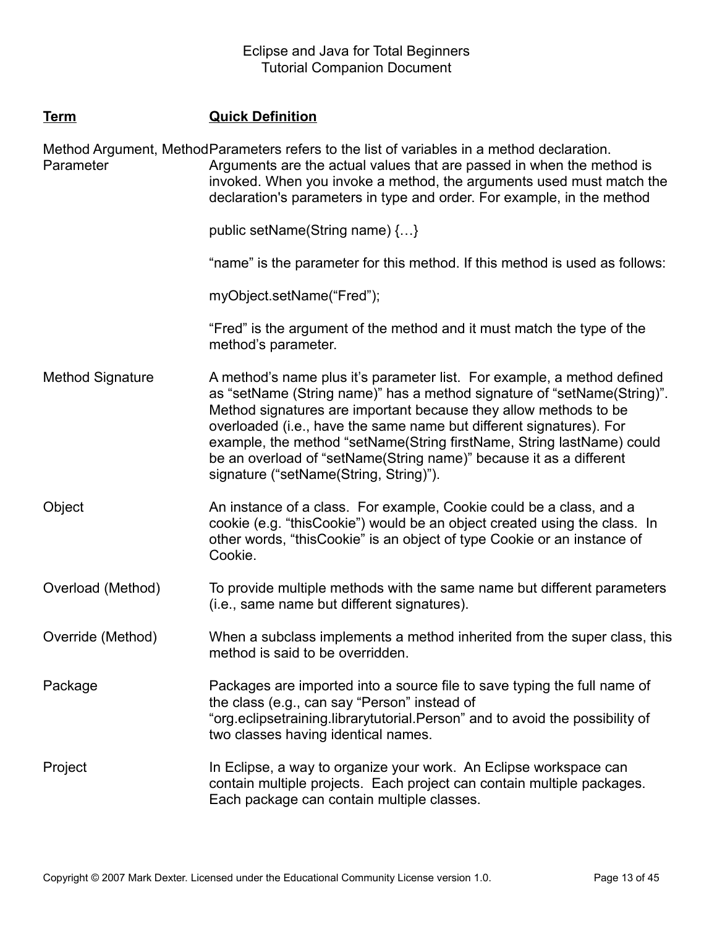### **Term Quick Definition**

Method Argument, MethodParameters refers to the list of variables in a method declaration. **Parameter** Arguments are the actual values that are passed in when the method is invoked. When you invoke a method, the arguments used must match the declaration's parameters in type and order. For example, in the method

public setName(String name) {…}

"name" is the parameter for this method. If this method is used as follows:

myObject.setName("Fred");

"Fred" is the argument of the method and it must match the type of the method's parameter.

Method Signature A method's name plus it's parameter list. For example, a method defined as "setName (String name)" has a method signature of "setName(String)". Method signatures are important because they allow methods to be overloaded (i.e., have the same name but different signatures). For example, the method "setName(String firstName, String lastName) could be an overload of "setName(String name)" because it as a different signature ("setName(String, String)").

Object **An instance of a class.** For example, Cookie could be a class, and a cookie (e.g. "thisCookie") would be an object created using the class. In other words, "thisCookie" is an object of type Cookie or an instance of Cookie.

Overload (Method) To provide multiple methods with the same name but different parameters (i.e., same name but different signatures).

Override (Method) When a subclass implements a method inherited from the super class, this method is said to be overridden.

Package Packages are imported into a source file to save typing the full name of the class (e.g., can say "Person" instead of "org.eclipsetraining.librarytutorial.Person" and to avoid the possibility of two classes having identical names.

Project **In Eclipse, a way to organize your work.** An Eclipse workspace can contain multiple projects. Each project can contain multiple packages. Each package can contain multiple classes.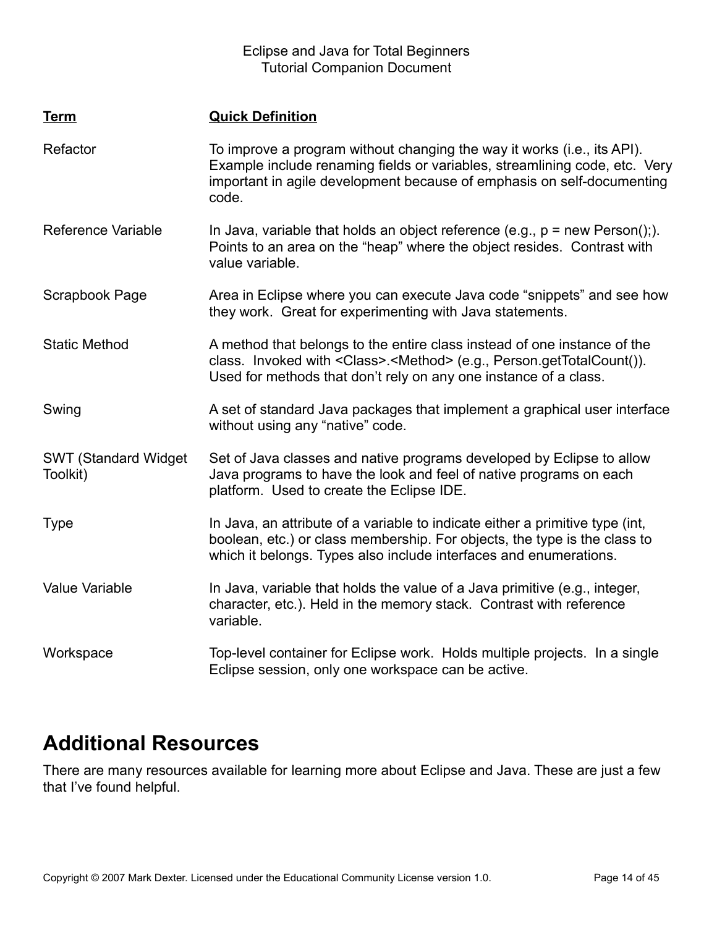| <b>Term</b>                              | <b>Quick Definition</b>                                                                                                                                                                                                                  |
|------------------------------------------|------------------------------------------------------------------------------------------------------------------------------------------------------------------------------------------------------------------------------------------|
| Refactor                                 | To improve a program without changing the way it works (i.e., its API).<br>Example include renaming fields or variables, streamlining code, etc. Very<br>important in agile development because of emphasis on self-documenting<br>code. |
| <b>Reference Variable</b>                | In Java, variable that holds an object reference (e.g., $p = new Person(j)$ .).<br>Points to an area on the "heap" where the object resides. Contrast with<br>value variable.                                                            |
| Scrapbook Page                           | Area in Eclipse where you can execute Java code "snippets" and see how<br>they work. Great for experimenting with Java statements.                                                                                                       |
| <b>Static Method</b>                     | A method that belongs to the entire class instead of one instance of the<br>class. Invoked with <class>.<method> (e.g., Person.getTotalCount()).<br/>Used for methods that don't rely on any one instance of a class.</method></class>   |
| Swing                                    | A set of standard Java packages that implement a graphical user interface<br>without using any "native" code.                                                                                                                            |
| <b>SWT (Standard Widget)</b><br>Toolkit) | Set of Java classes and native programs developed by Eclipse to allow<br>Java programs to have the look and feel of native programs on each<br>platform. Used to create the Eclipse IDE.                                                 |
| <b>Type</b>                              | In Java, an attribute of a variable to indicate either a primitive type (int,<br>boolean, etc.) or class membership. For objects, the type is the class to<br>which it belongs. Types also include interfaces and enumerations.          |
| <b>Value Variable</b>                    | In Java, variable that holds the value of a Java primitive (e.g., integer,<br>character, etc.). Held in the memory stack. Contrast with reference<br>variable.                                                                           |
| Workspace                                | Top-level container for Eclipse work. Holds multiple projects. In a single<br>Eclipse session, only one workspace can be active.                                                                                                         |

### **Additional Resources**

There are many resources available for learning more about Eclipse and Java. These are just a few that I've found helpful.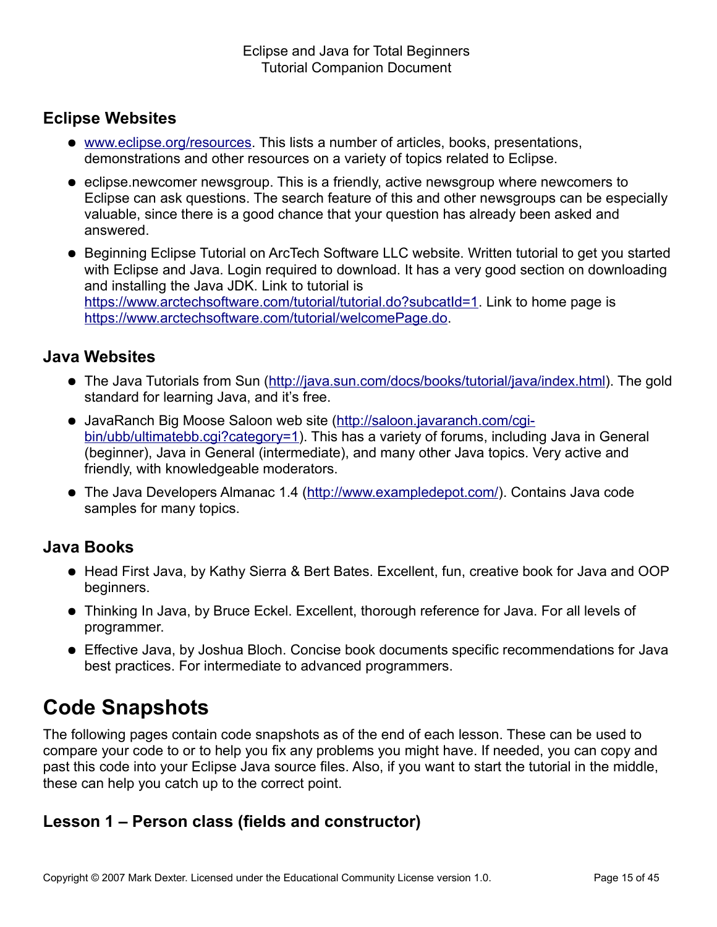### **Eclipse Websites**

- [www.eclipse.org/resources.](http://www.eclipse.org/resources) This lists a number of articles, books, presentations, demonstrations and other resources on a variety of topics related to Eclipse.
- eclipse.newcomer newsgroup. This is a friendly, active newsgroup where newcomers to Eclipse can ask questions. The search feature of this and other newsgroups can be especially valuable, since there is a good chance that your question has already been asked and answered.
- Beginning Eclipse Tutorial on ArcTech Software LLC website. Written tutorial to get you started with Eclipse and Java. Login required to download. It has a very good section on downloading and installing the Java JDK. Link to tutorial is [https://www.arctechsoftware.com/tutorial/tutorial.do?subcatId=1.](https://www.arctechsoftware.com/tutorial/tutorial.do?subcatId=1) Link to home page is [https://www.arctechsoftware.com/tutorial/welcomePage.do.](https://www.arctechsoftware.com/tutorial/welcomePage.do)

### **Java Websites**

- The Java Tutorials from Sun [\(http://java.sun.com/docs/books/tutorial/java/index.html\)](http://java.sun.com/docs/books/tutorial/java/index.html). The gold standard for learning Java, and it's free.
- JavaRanch Big Moose Saloon web site [\(http://saloon.javaranch.com/cgi](http://saloon.javaranch.com/cgi-bin/ubb/ultimatebb.cgi?category=1)[bin/ubb/ultimatebb.cgi?category=1\)](http://saloon.javaranch.com/cgi-bin/ubb/ultimatebb.cgi?category=1). This has a variety of forums, including Java in General (beginner), Java in General (intermediate), and many other Java topics. Very active and friendly, with knowledgeable moderators.
- The Java Developers Almanac 1.4 [\(http://www.exampledepot.com/\)](http://www.exampledepot.com/). Contains Java code samples for many topics.

### **Java Books**

- Head First Java, by Kathy Sierra & Bert Bates. Excellent, fun, creative book for Java and OOP beginners.
- Thinking In Java, by Bruce Eckel. Excellent, thorough reference for Java. For all levels of programmer.
- Effective Java, by Joshua Bloch. Concise book documents specific recommendations for Java best practices. For intermediate to advanced programmers.

### **Code Snapshots**

The following pages contain code snapshots as of the end of each lesson. These can be used to compare your code to or to help you fix any problems you might have. If needed, you can copy and past this code into your Eclipse Java source files. Also, if you want to start the tutorial in the middle, these can help you catch up to the correct point.

### **Lesson 1 – Person class (fields and constructor)**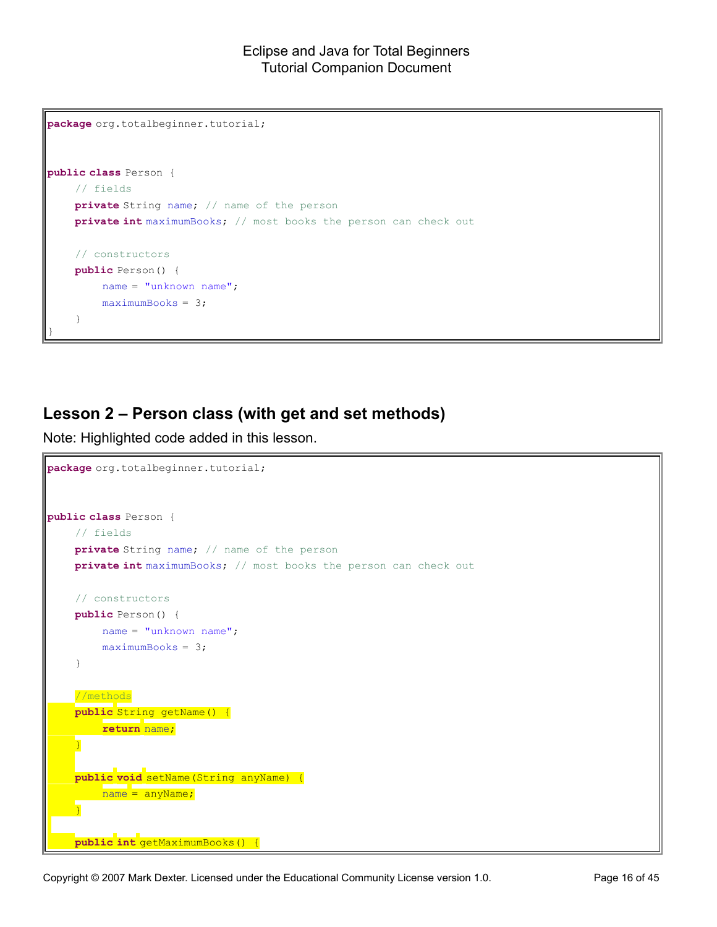```
package org.totalbeginner.tutorial;
public class Person {
    // fields
    private String name; // name of the person
    private int maximumBooks; // most books the person can check out
    // constructors
    public Person() {
        name = "unknown name";
        maximumBooks = 3;
    }
}
```
### **Lesson 2 – Person class (with get and set methods)**

Note: Highlighted code added in this lesson.

```
package org.totalbeginner.tutorial;
public class Person {
    // fields
    private String name; // name of the person
    private int maximumBooks; // most books the person can check out
    // constructors
    public Person() {
        name = "unknown name";
        maximumBooks = 3;}
    //methods
    public String getName() {
        return name;
    }
    public void setName(String anyName) {
        name = anyName;}
    public int getMaximumBooks() {
```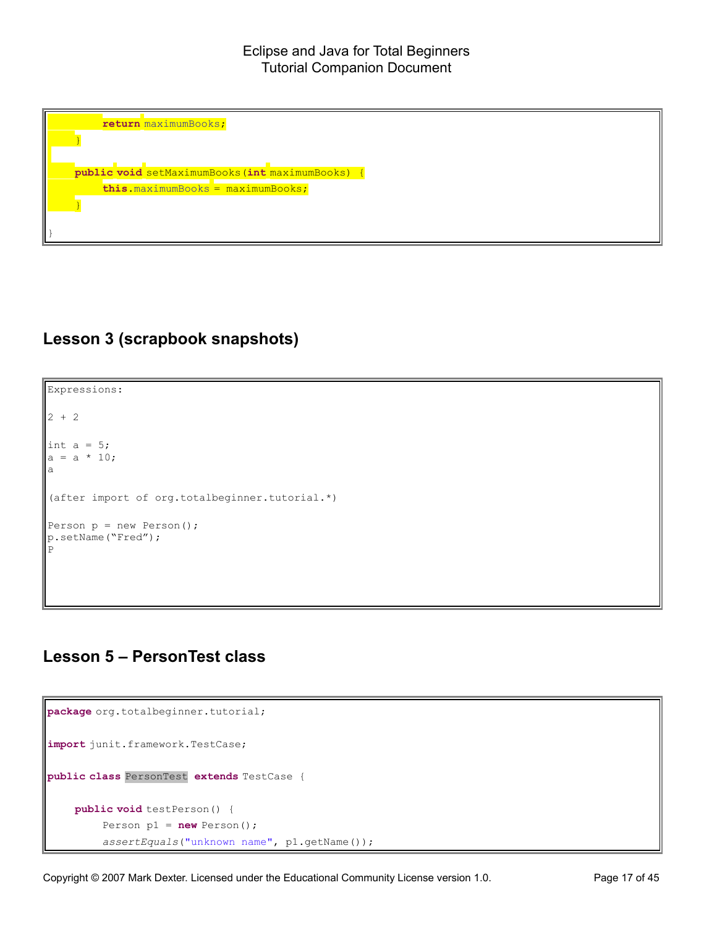**return** maximumBooks; } **public void** setMaximumBooks(**int** maximumBooks) { **this**.maximumBooks = maximumBooks; }

### **Lesson 3 (scrapbook snapshots)**

}

Expressions: 2 + 2 int  $a = 5$ ;  $a = a * 10;$ a (after import of org.totalbeginner.tutorial.\*) Person  $p = new Person()$ ; p.setName("Fred"); P

### **Lesson 5 – PersonTest class**

```
package org.totalbeginner.tutorial;
import junit.framework.TestCase;
public class PersonTest extends TestCase {
    public void testPerson() {
        Person p1 = new Person();
         assertEquals("unknown name", p1.getName());
```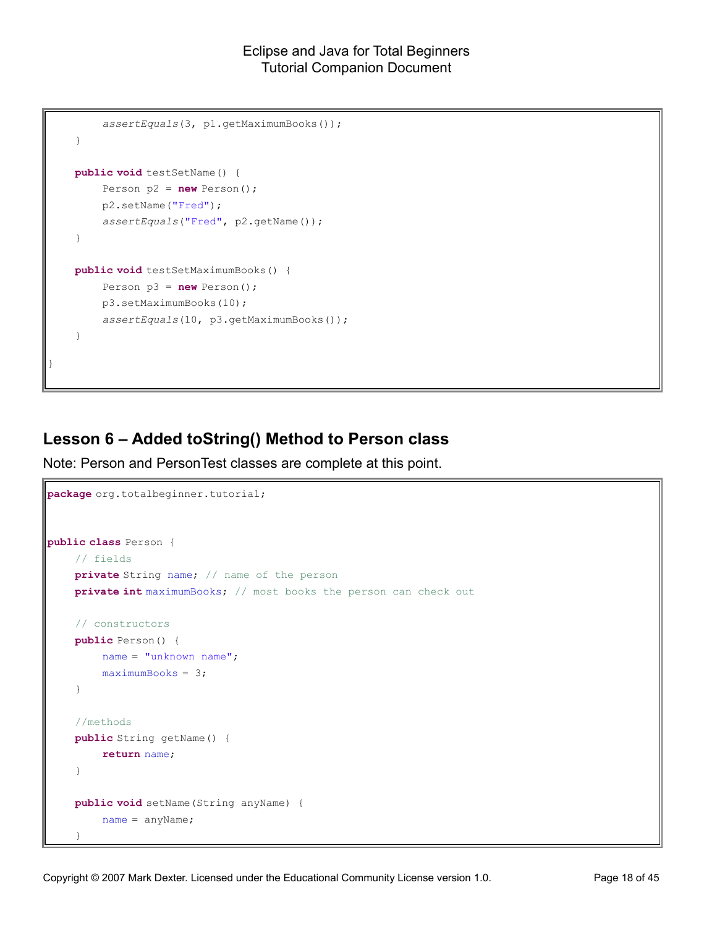```
assertEquals(3, p1.getMaximumBooks());
    }
    public void testSetName() {
        Person p2 = new Person();
        p2.setName("Fred");
        assertEquals("Fred", p2.getName());
    }
    public void testSetMaximumBooks() {
        Person p3 = new Person();
        p3.setMaximumBooks(10);
        assertEquals(10, p3.getMaximumBooks());
    }
}
```
### **Lesson 6 – Added toString() Method to Person class**

Note: Person and PersonTest classes are complete at this point.

```
package org.totalbeginner.tutorial;
public class Person {
    // fields
    private String name; // name of the person
    private int maximumBooks; // most books the person can check out
    // constructors
    public Person() {
        name = "unknown name";
        maximumBooks = 3;
    }
    //methods
    public String getName() {
        return name;
    }
    public void setName(String anyName) {
        name = anyName;
    }
```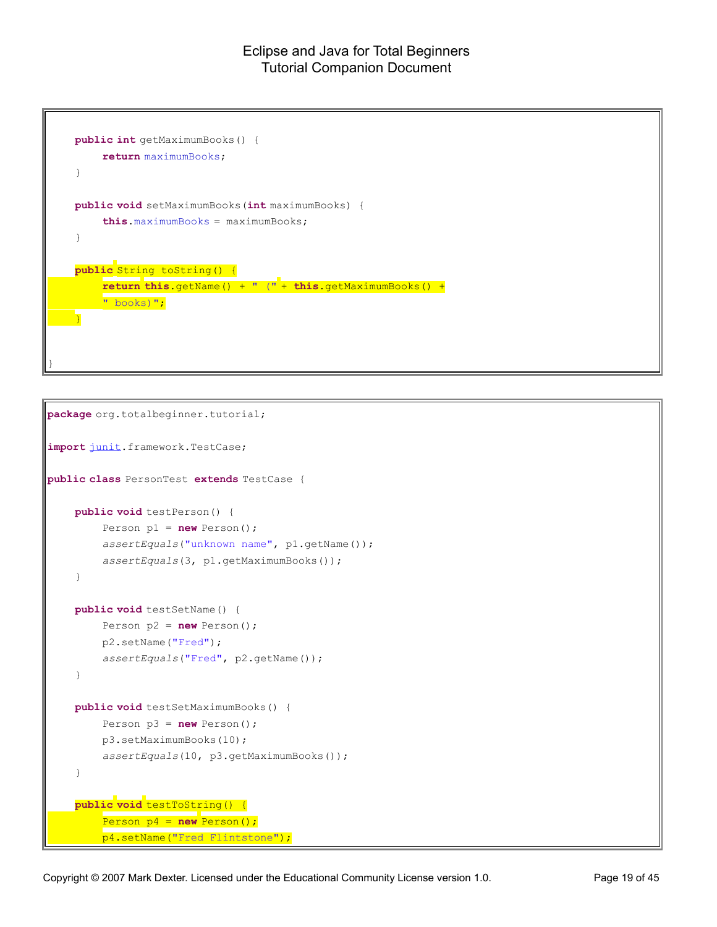```
public int getMaximumBooks() {
        return maximumBooks;
    }
    public void setMaximumBooks(int maximumBooks) {
        this.maximumBooks = maximumBooks;
    }
    public String toString() {
        return this.getName() + " (" + this.getMaximumBooks() +
        " books)";
    }
}
```

```
package org.totalbeginner.tutorial;
import junit.framework.TestCase;
public class PersonTest extends TestCase {
    public void testPerson() {
        Person p1 = new Person();
        assertEquals("unknown name", p1.getName());
        assertEquals(3, p1.getMaximumBooks());
    }
    public void testSetName() {
        Person p2 = new Person();
        p2.setName("Fred");
        assertEquals("Fred", p2.getName());
    }
    public void testSetMaximumBooks() {
        Person p3 = new Person();
        p3.setMaximumBooks(10);
        assertEquals(10, p3.getMaximumBooks());
    }
    public void testToString() {
         Person p4 = new Person();
        p4.setName("Fred Flintstone");
```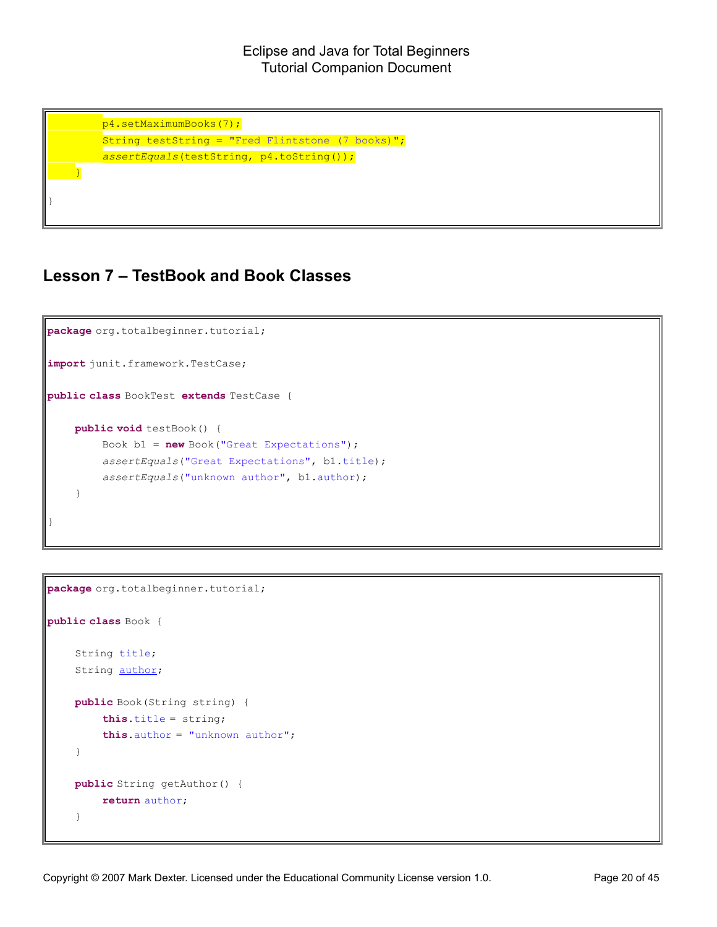p4.setMaximumBooks(7); String testString = "Fred Flintstone (7 books)"; *assertEquals*(testString, p4.toString()); }

### **Lesson 7 – TestBook and Book Classes**

}

```
package org.totalbeginner.tutorial;
import junit.framework.TestCase;
public class BookTest extends TestCase {
    public void testBook() {
        Book b1 = new Book("Great Expectations");
        assertEquals("Great Expectations", b1.title);
        assertEquals("unknown author", b1.author);
    }
}
```

```
package org.totalbeginner.tutorial;
public class Book {
    String title;
    String author;
    public Book(String string) {
        this.title = string;
        this.author = "unknown author";
    }
    public String getAuthor() {
        return author;
    }
```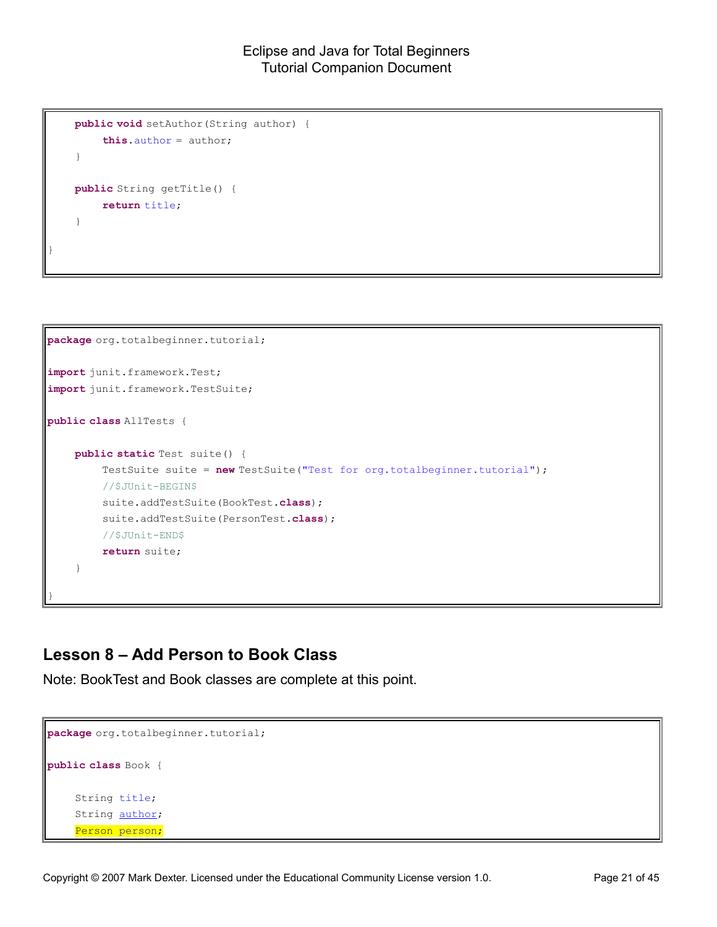```
public void setAuthor(String author) {
    this.author = author;
}
public String getTitle() {
    return title;
}
```
}

```
package org.totalbeginner.tutorial;
import junit.framework.Test;
import junit.framework.TestSuite;
public class AllTests {
    public static Test suite() {
        TestSuite suite = new TestSuite("Test for org.totalbeginner.tutorial");
        //$JUnit-BEGIN$
        suite.addTestSuite(BookTest.class);
        suite.addTestSuite(PersonTest.class);
        //$JUnit-END$
        return suite;
    }
}
```
### **Lesson 8 – Add Person to Book Class**

Note: BookTest and Book classes are complete at this point.

```
package org.totalbeginner.tutorial;
public class Book {
    String title;
    String author;
    Person person;
```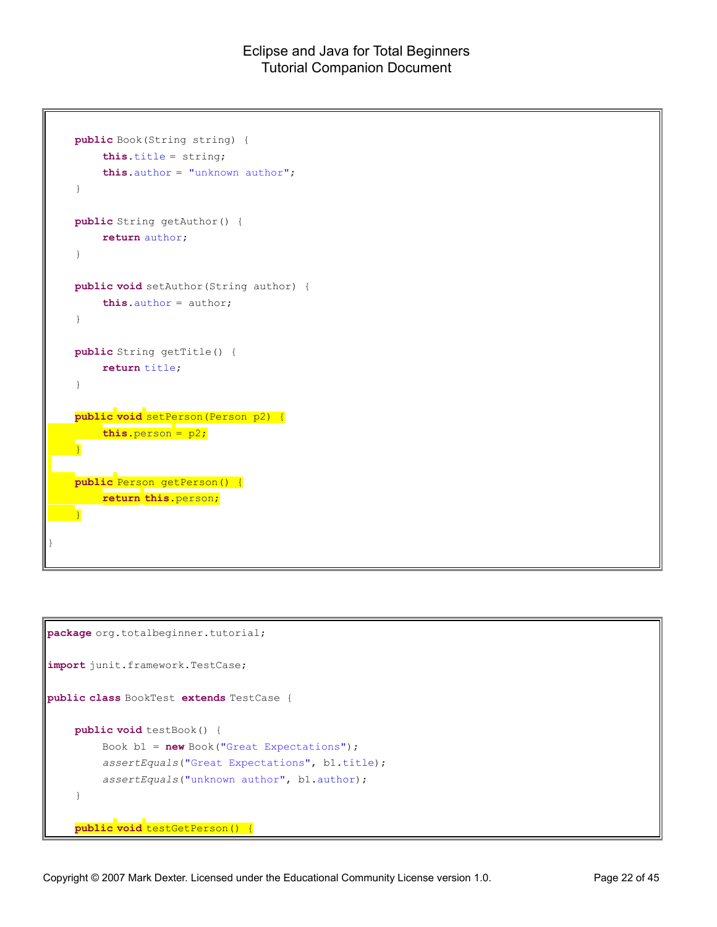```
public Book(String string) {
        this.title = string;
        this.author = "unknown author";
    }
    public String getAuthor() {
        return author;
    }
    public void setAuthor(String author) {
        this.author = author;
    }
    public String getTitle() {
        return title;
    }
    public void setPerson(Person p2) {
        this.person = p2;
    }
    public Person getPerson() {
       return this.person;
    }
}
```

```
package org.totalbeginner.tutorial;
import junit.framework.TestCase;
public class BookTest extends TestCase {
    public void testBook() {
        Book b1 = new Book("Great Expectations");
        assertEquals("Great Expectations", b1.title);
        assertEquals("unknown author", b1.author);
    }
    public void testGetPerson() {
```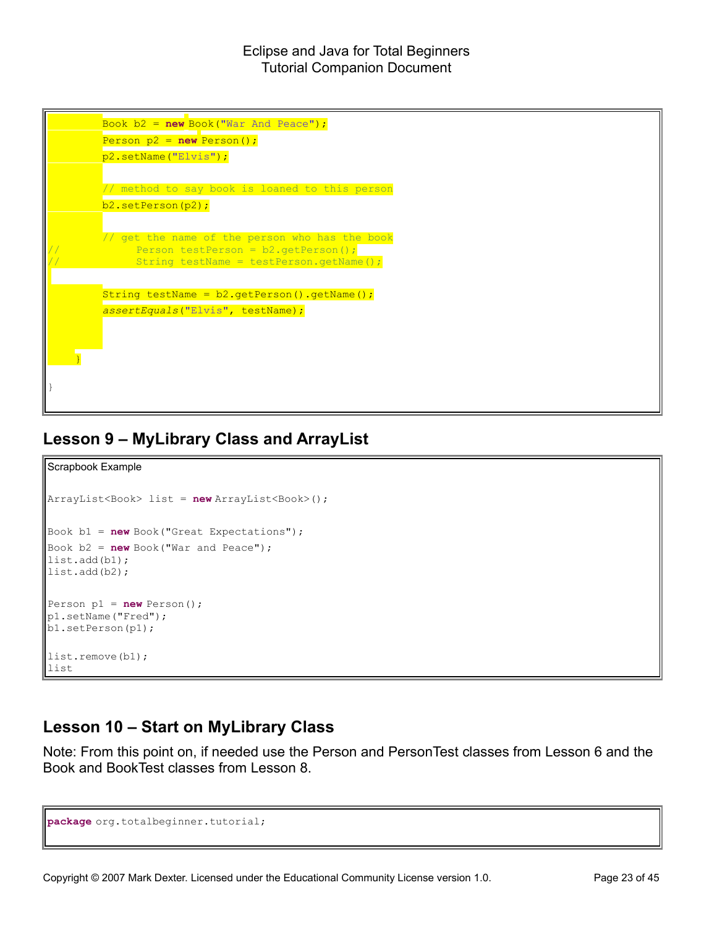

### **Lesson 9 – MyLibrary Class and ArrayList**

```
Scrapbook Example
ArrayList<Book> list = new ArrayList<Book>();
Book b1 = new Book("Great Expectations");
Book b2 = new Book("War and Peace");
list.add(b1);
list.add(b2);
Person p1 = new Person();
p1.setName("Fred");
b1.setPerson(p1);
list.remove(b1);
list
```
### **Lesson 10 – Start on MyLibrary Class**

Note: From this point on, if needed use the Person and PersonTest classes from Lesson 6 and the Book and BookTest classes from Lesson 8.

```
package org.totalbeginner.tutorial;
```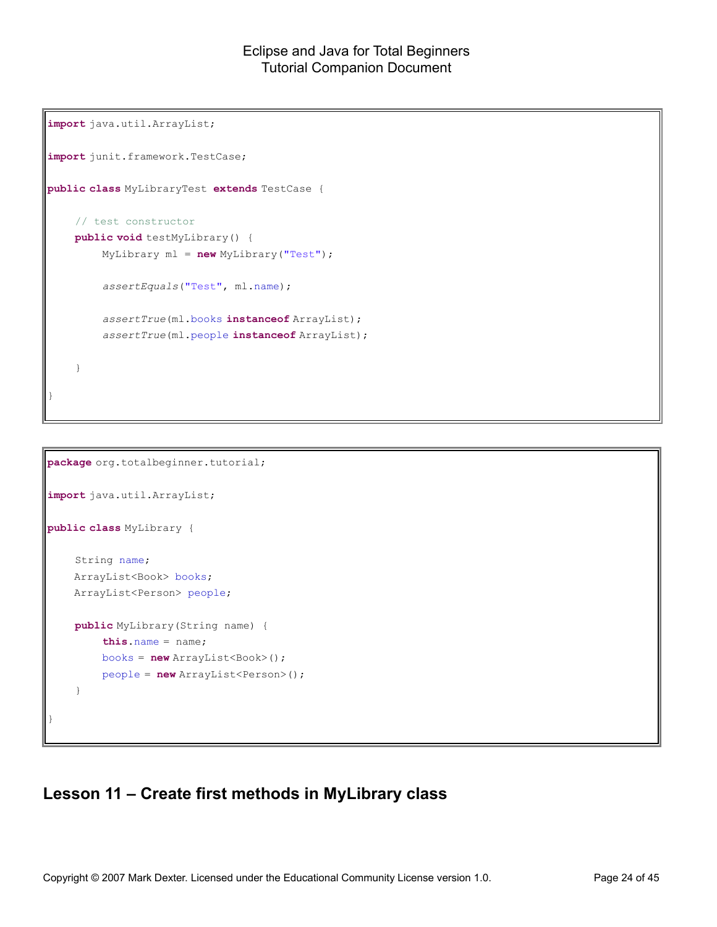```
import java.util.ArrayList;
import junit.framework.TestCase;
public class MyLibraryTest extends TestCase {
    // test constructor
    public void testMyLibrary() {
        MyLibrary ml = new MyLibrary("Test");
        assertEquals("Test", ml.name);
        assertTrue(ml.books instanceof ArrayList);
        assertTrue(ml.people instanceof ArrayList);
    }
}
```

```
package org.totalbeginner.tutorial;
import java.util.ArrayList;
public class MyLibrary {
    String name;
    ArrayList<Book> books;
    ArrayList<Person> people;
    public MyLibrary(String name) {
        this.name = name;
        books = new ArrayList<Book>();
        people = new ArrayList<Person>();
    }
}
```
### **Lesson 11 – Create first methods in MyLibrary class**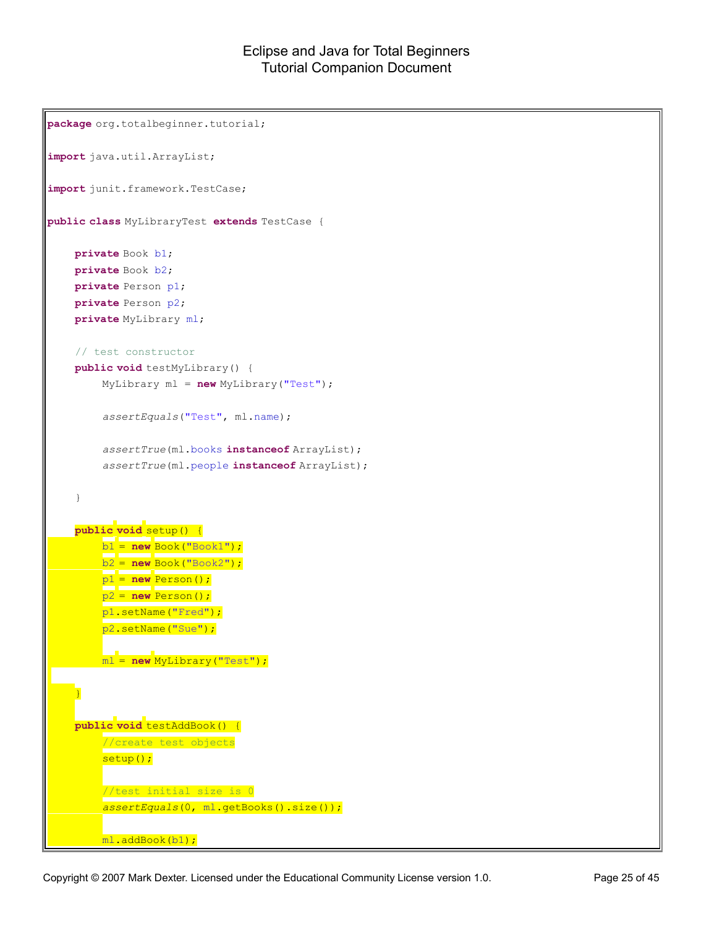```
package org.totalbeginner.tutorial;
import java.util.ArrayList;
import junit.framework.TestCase;
public class MyLibraryTest extends TestCase {
    private Book b1;
    private Book b2;
    private Person p1;
    private Person p2;
    private MyLibrary ml;
    // test constructor
    public void testMyLibrary() {
        MyLibrary ml = new MyLibrary("Test");
        assertEquals("Test", ml.name);
        assertTrue(ml.books instanceof ArrayList);
        assertTrue(ml.people instanceof ArrayList);
    }
    public void setup() {
        b1 = new Book("Book1");
        b2 = new Book("Book2");
        p1 = new Person();
        p2 = new Person();
        p1.setName("Fred");
        p2.setName("Sue");
        ml = new MyLibrary("Test");
    }
    public void testAddBook() {
         //create test objects
        setup();
         //test initial size is 0
         assertEquals(0, ml.getBooks().size());
        ml.addBook(b1);
```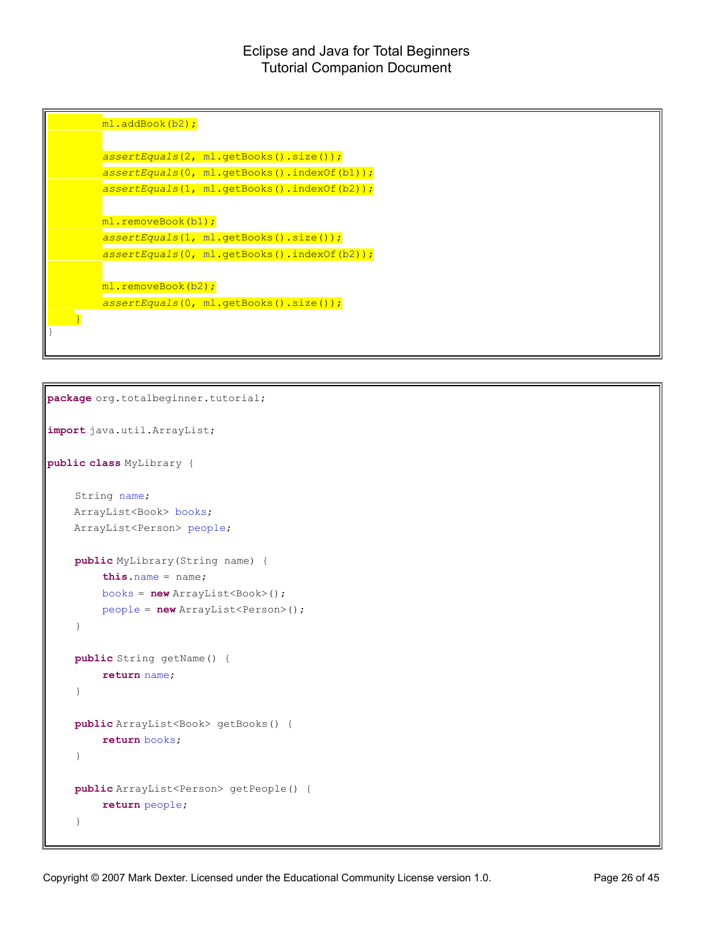

```
package org.totalbeginner.tutorial;
import java.util.ArrayList;
public class MyLibrary {
    String name;
    ArrayList<Book> books;
    ArrayList<Person> people;
    public MyLibrary(String name) {
        this.name = name;
        books = new ArrayList<Book>();
        people = new ArrayList<Person>();
    }
    public String getName() {
        return name;
    }
    public ArrayList<Book> getBooks() {
        return books;
    }
    public ArrayList<Person> getPeople() {
        return people;
    }
```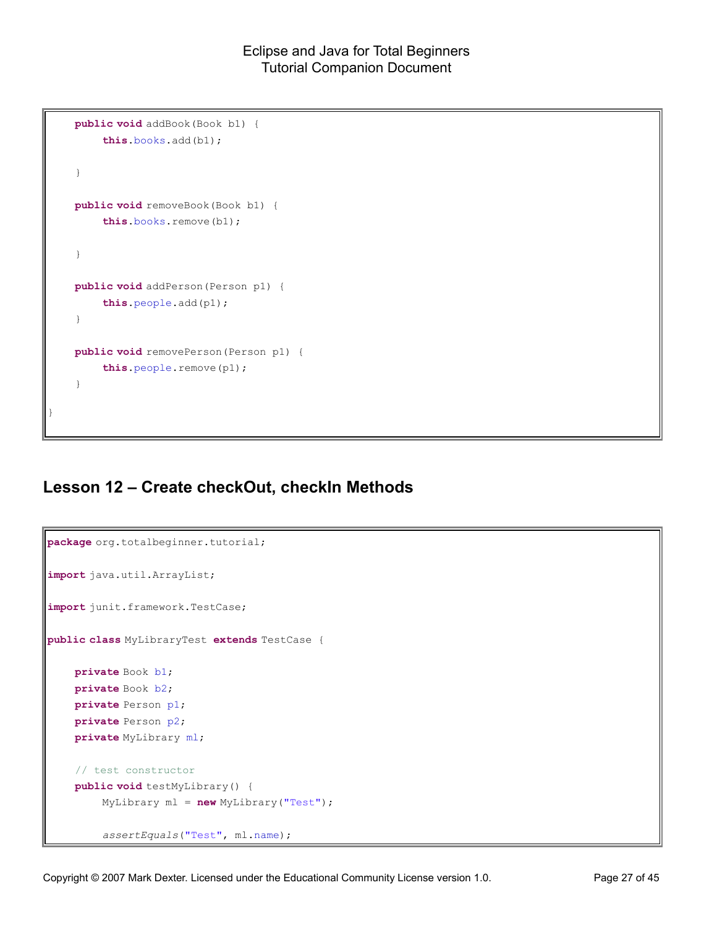```
public void addBook(Book b1) {
        this.books.add(b1);
    }
    public void removeBook(Book b1) {
        this.books.remove(b1);
    }
    public void addPerson(Person p1) {
        this.people.add(p1);
    }
    public void removePerson(Person p1) {
        this.people.remove(p1);
    }
}
```
### **Lesson 12 – Create checkOut, checkIn Methods**

```
package org.totalbeginner.tutorial;
import java.util.ArrayList;
import junit.framework.TestCase;
public class MyLibraryTest extends TestCase {
    private Book b1;
    private Book b2;
    private Person p1;
    private Person p2;
    private MyLibrary ml;
    // test constructor
    public void testMyLibrary() {
        MyLibrary ml = new MyLibrary("Test");
         assertEquals("Test", ml.name);
```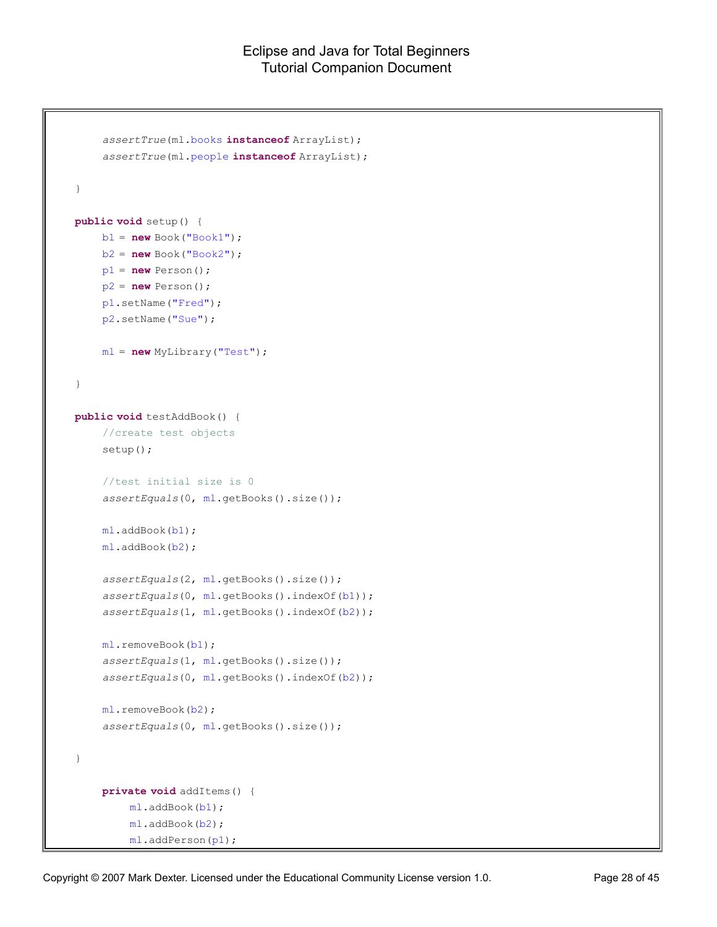```
assertTrue(ml.books instanceof ArrayList);
    assertTrue(ml.people instanceof ArrayList);
}
public void setup() {
    b1 = new Book("Book1");
    b2 = new Book("Book2");
    p1 = new Person();
    p2 = new Person();
    p1.setName("Fred");
    p2.setName("Sue");
    ml = new MyLibrary("Test");
}
public void testAddBook() {
    //create test objects
    setup();
    //test initial size is 0
    assertEquals(0, ml.getBooks().size());
    ml.addBook(b1);
    ml.addBook(b2);
    assertEquals(2, ml.getBooks().size());
    assertEquals(0, ml.getBooks().indexOf(b1));
    assertEquals(1, ml.getBooks().indexOf(b2));
    ml.removeBook(b1);
    assertEquals(1, ml.getBooks().size());
    assertEquals(0, ml.getBooks().indexOf(b2));
    ml.removeBook(b2);
    assertEquals(0, ml.getBooks().size());
}
    private void addItems() {
        ml.addBook(b1);
         ml.addBook(b2);
         ml.addPerson(p1);
```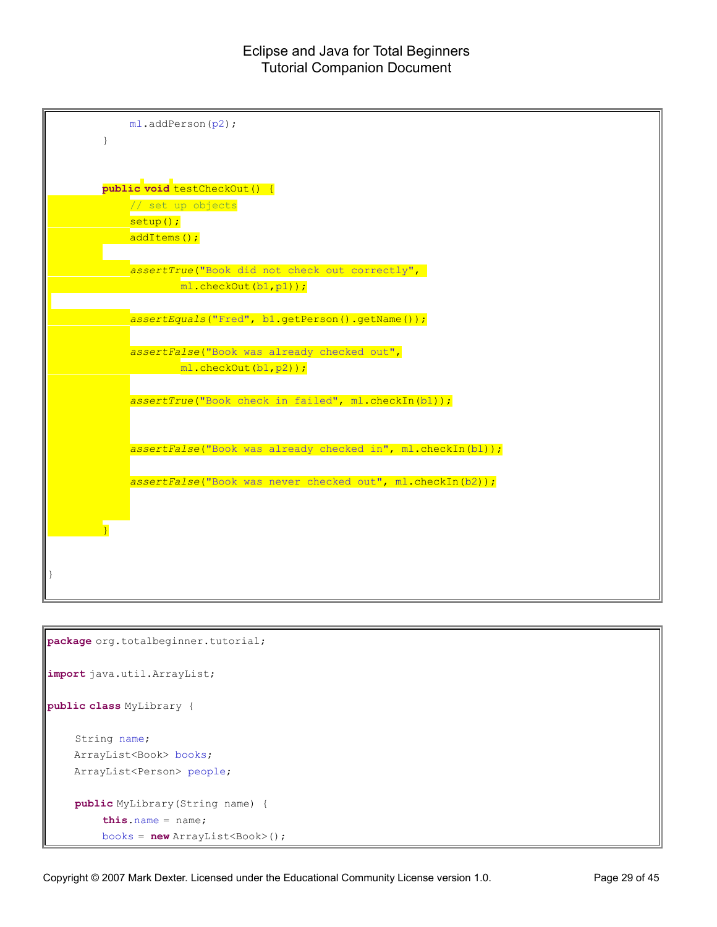

```
package org.totalbeginner.tutorial;
import java.util.ArrayList;
public class MyLibrary {
    String name;
    ArrayList<Book> books;
    ArrayList<Person> people;
    public MyLibrary(String name) {
        this.name = name;
        books = new ArrayList<Book>();
```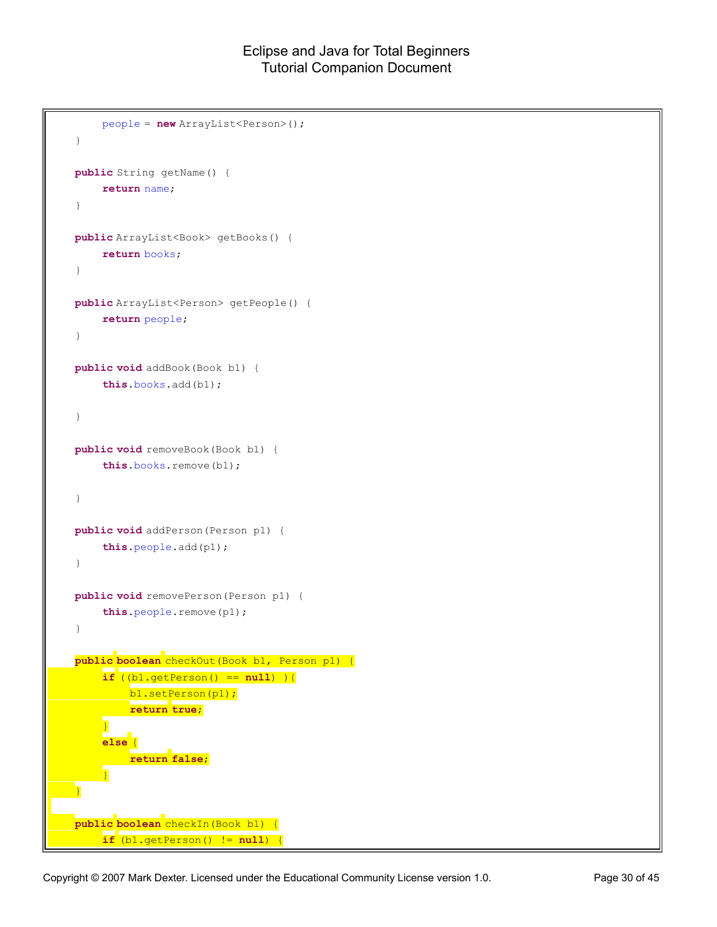```
people = new ArrayList<Person>();
}
public String getName() {
    return name;
}
public ArrayList<Book> getBooks() {
    return books;
}
public ArrayList<Person> getPeople() {
    return people;
}
public void addBook(Book b1) {
    this.books.add(b1);
}
public void removeBook(Book b1) {
    this.books.remove(b1);
}
public void addPerson(Person p1) {
    this.people.add(p1);
}
public void removePerson(Person p1) {
    this.people.remove(p1);
}
public boolean checkOut(Book b1, Person p1) {
    if ((b1.getPerson() == null) ){
         b1.setPerson(p1);
         return true;
     }
    else {
        return false;
    }
}
public boolean checkIn(Book b1) {
    if (b1.getPerson() != null) {
```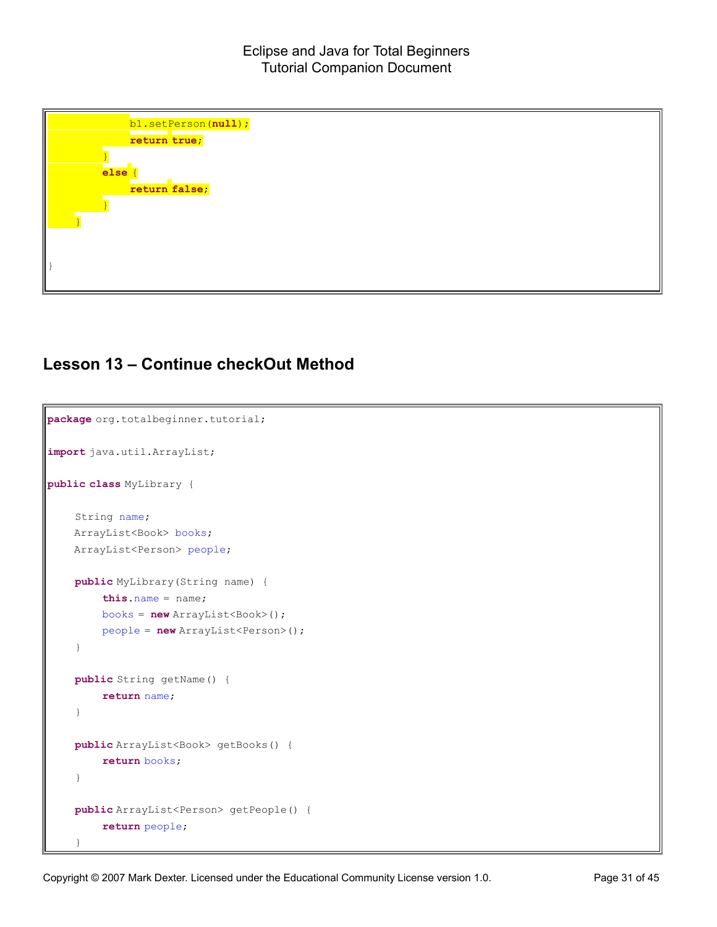| b1.setPerson(null); |
|---------------------|
| return true;        |
|                     |
| else                |
| return false;       |
|                     |
|                     |
|                     |
|                     |
|                     |

### **Lesson 13 – Continue checkOut Method**

```
package org.totalbeginner.tutorial;
import java.util.ArrayList;
public class MyLibrary {
    String name;
   ArrayList<Book> books;
    ArrayList<Person> people;
    public MyLibrary(String name) {
        this.name = name;
        books = new ArrayList<Book>();
        people = new ArrayList<Person>();
    }
    public String getName() {
        return name;
    }
    public ArrayList<Book> getBooks() {
        return books;
    }
    public ArrayList<Person> getPeople() {
        return people;
    }
```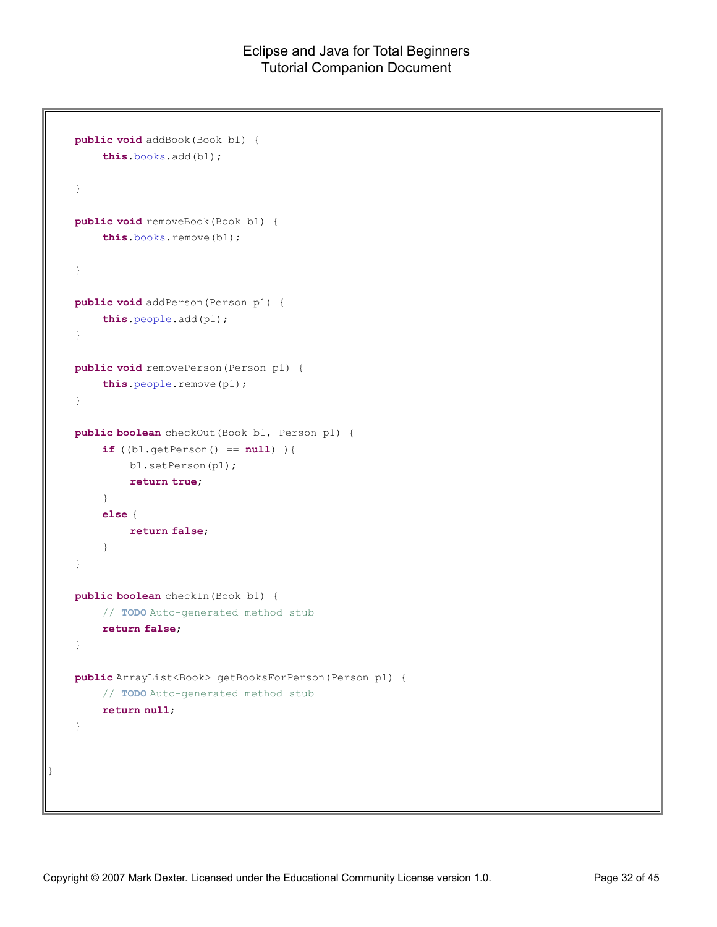```
public void addBook(Book b1) {
        this.books.add(b1);
    }
   public void removeBook(Book b1) {
        this.books.remove(b1);
    }
   public void addPerson(Person p1) {
        this.people.add(p1);
    }
   public void removePerson(Person p1) {
        this.people.remove(p1);
    }
   public boolean checkOut(Book b1, Person p1) {
        if ((b1.getPerson() == null) ){
            b1.setPerson(p1);
            return true;
        }
        else {
           return false;
        }
    }
   public boolean checkIn(Book b1) {
        // TODO Auto-generated method stub
        return false;
   }
   public ArrayList<Book> getBooksForPerson(Person p1) {
        // TODO Auto-generated method stub
        return null;
    }
}
```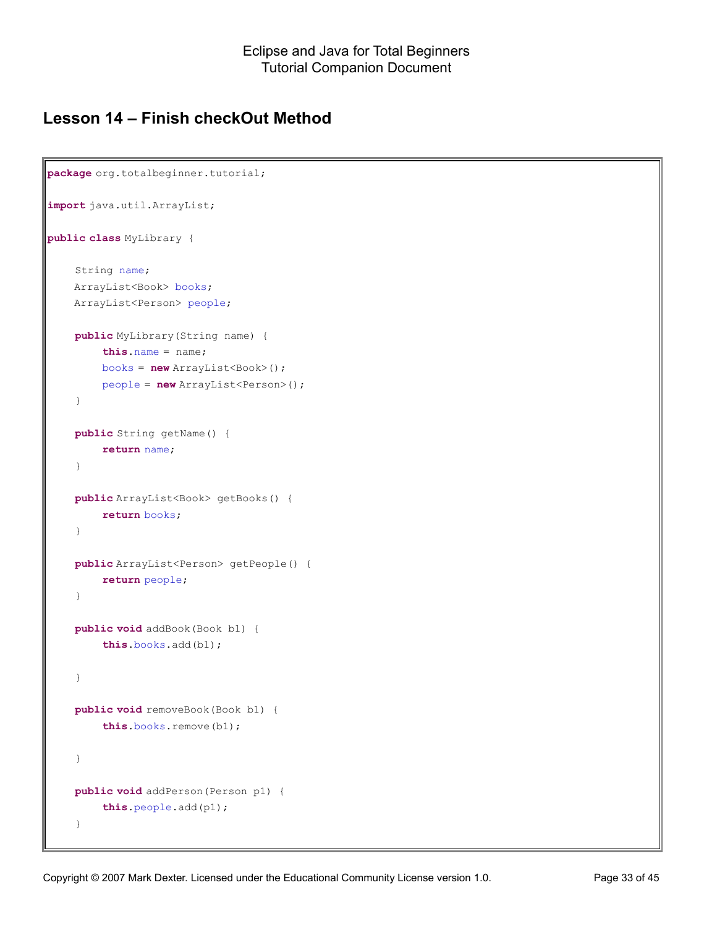### **Lesson 14 – Finish checkOut Method**

```
package org.totalbeginner.tutorial;
import java.util.ArrayList;
public class MyLibrary {
    String name;
    ArrayList<Book> books;
    ArrayList<Person> people;
    public MyLibrary(String name) {
        this.name = name;
        books = new ArrayList<Book>();
        people = new ArrayList<Person>();
    }
    public String getName() {
        return name;
    }
    public ArrayList<Book> getBooks() {
        return books;
    }
    public ArrayList<Person> getPeople() {
        return people;
    }
    public void addBook(Book b1) {
        this.books.add(b1);
    }
    public void removeBook(Book b1) {
        this.books.remove(b1);
    }
    public void addPerson(Person p1) {
        this.people.add(p1);
    }
```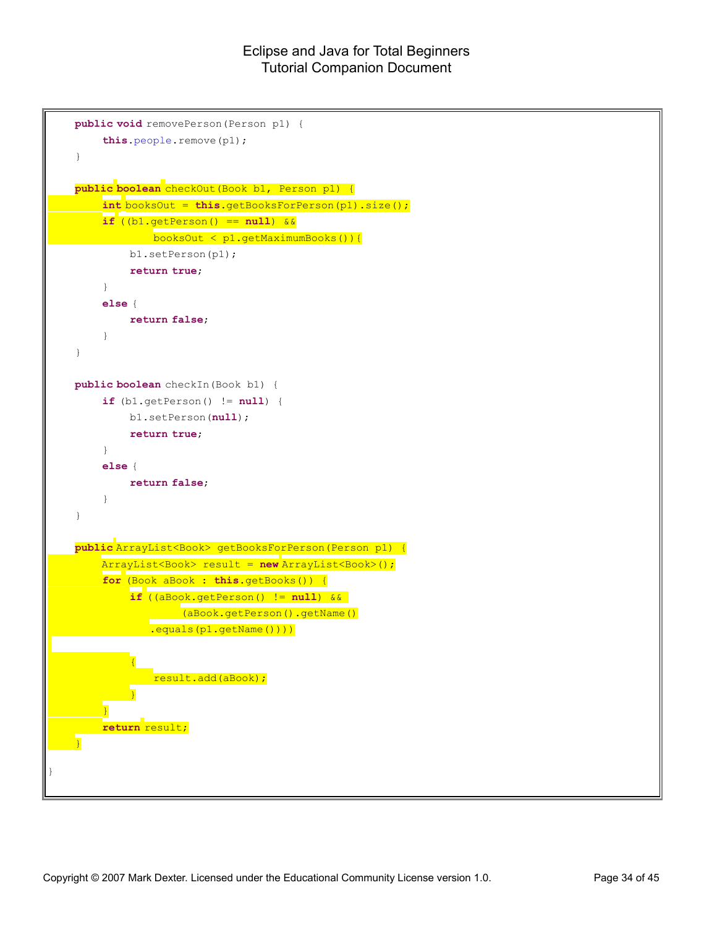```
public void removePerson(Person p1) {
        this.people.remove(p1);
    }
   public boolean checkOut(Book b1, Person p1) {
        int booksOut = this.getBooksForPerson(p1).size();
        if ((b1.getPerson() == null) &&
             booksOut < p1.getMaximumBooks()){
            b1.setPerson(p1);
            return true;
        }
        else {
            return false;
        }
    }
   public boolean checkIn(Book b1) {
        if (b1.getPerson() != null) {
            b1.setPerson(null);
            return true;
        }
        else {
            return false;
        }
    }
   public ArrayList<Book> getBooksForPerson(Person p1) {
        ArrayList<Book> result = new ArrayList<Book>();
        for (Book aBook : this.getBooks()) {
             if ((aBook.getPerson() != null) && 
                (aBook.getPerson().getName()
               .equals(p1.getName())))
             {
               result.add(aBook);
             }
        }
        return result;
    }
}
```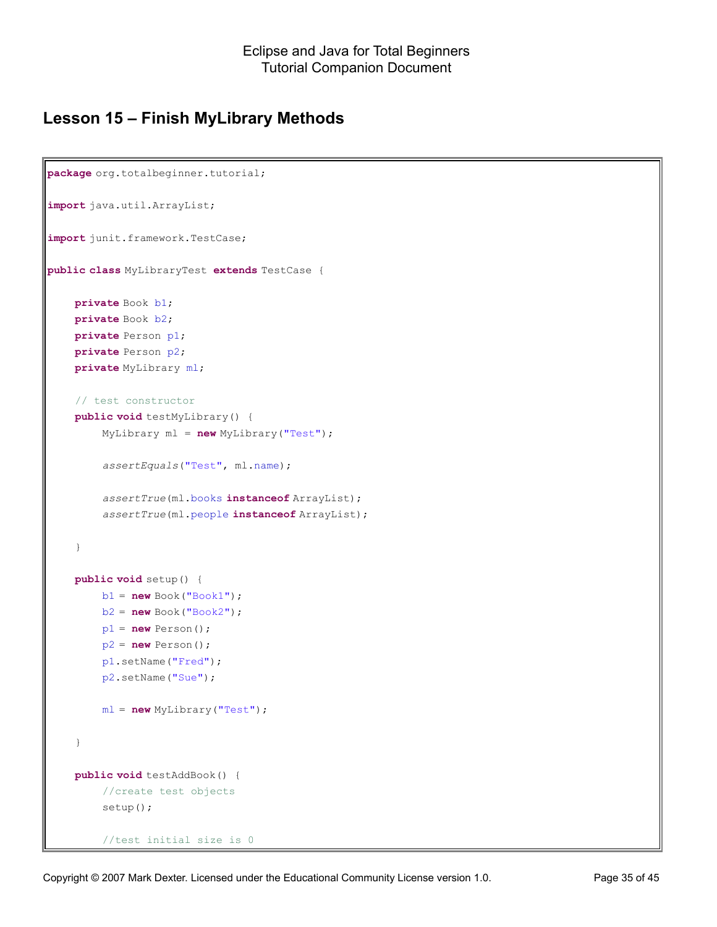### **Lesson 15 – Finish MyLibrary Methods**

```
package org.totalbeginner.tutorial;
import java.util.ArrayList;
import junit.framework.TestCase;
public class MyLibraryTest extends TestCase {
    private Book b1;
    private Book b2;
    private Person p1;
    private Person p2;
    private MyLibrary ml;
    // test constructor
    public void testMyLibrary() {
        MyLibrary ml = new MyLibrary("Test");
        assertEquals("Test", ml.name);
        assertTrue(ml.books instanceof ArrayList);
        assertTrue(ml.people instanceof ArrayList);
    }
    public void setup() {
        b1 = new Book("Book1");
        b2 = new Book("Book2");
        p1 = new Person();
        p2 = new Person();
        p1.setName("Fred");
        p2.setName("Sue");
        ml = new MyLibrary("Test");
    }
    public void testAddBook() {
        //create test objects
        setup();
         //test initial size is 0
```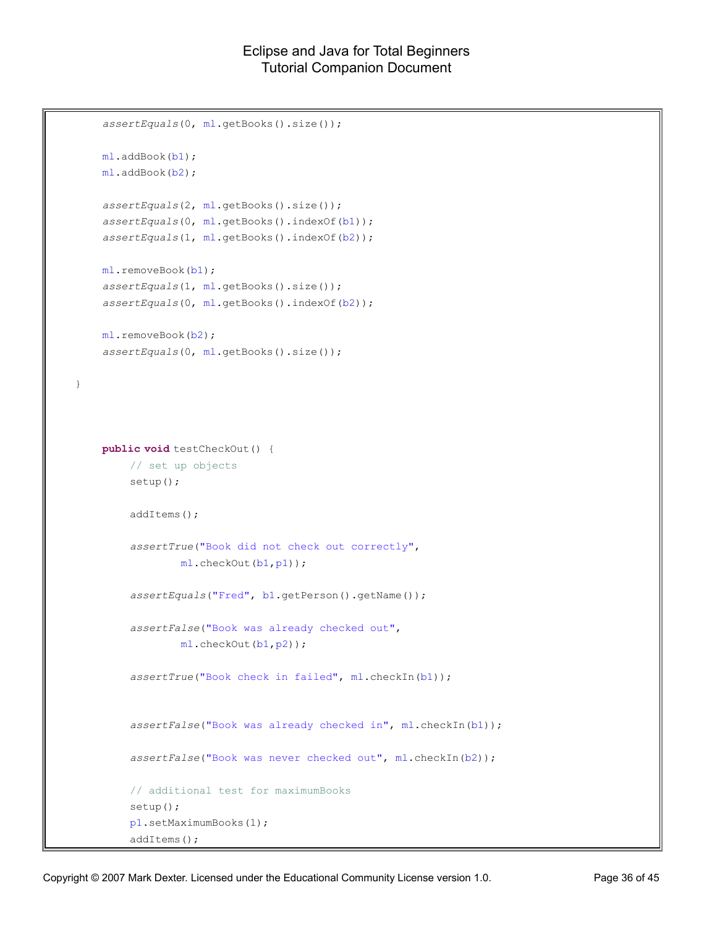```
assertEquals(0, ml.getBooks().size());
    ml.addBook(b1);
    ml.addBook(b2);
    assertEquals(2, ml.getBooks().size());
    assertEquals(0, ml.getBooks().indexOf(b1));
    assertEquals(1, ml.getBooks().indexOf(b2));
    ml.removeBook(b1);
    assertEquals(1, ml.getBooks().size());
    assertEquals(0, ml.getBooks().indexOf(b2));
    ml.removeBook(b2);
    assertEquals(0, ml.getBooks().size());
}
    public void testCheckOut() {
        // set up objects
        setup();
        addItems();
        assertTrue("Book did not check out correctly", 
                ml.checkOut(b1,p1));
        assertEquals("Fred", b1.getPerson().getName());
        assertFalse("Book was already checked out",
                ml.checkOut(b1,p2));
        assertTrue("Book check in failed", ml.checkIn(b1));
        assertFalse("Book was already checked in", ml.checkIn(b1));
        assertFalse("Book was never checked out", ml.checkIn(b2));
        // additional test for maximumBooks
        setup();
        p1.setMaximumBooks(1);
        addItems();
```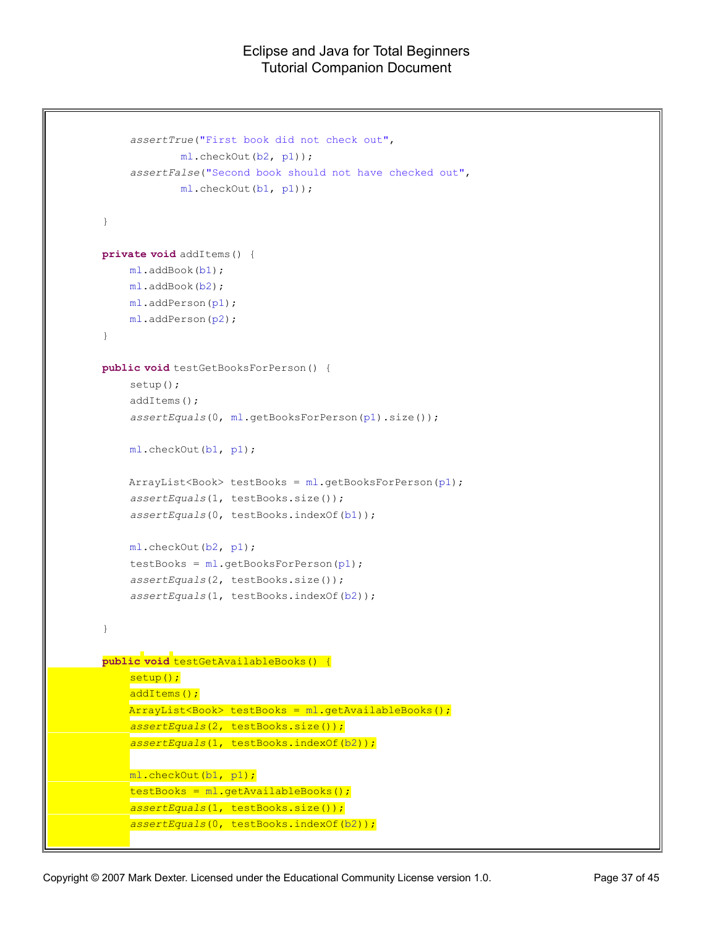```
assertTrue("First book did not check out", 
            ml.checkOut(b2, p1));
    assertFalse("Second book should not have checked out", 
            ml.checkOut(b1, p1));
}
private void addItems() {
    ml.addBook(b1);
    ml.addBook(b2);
    ml.addPerson(p1);
    ml.addPerson(p2);
}
public void testGetBooksForPerson() {
    setup();
    addItems();
    assertEquals(0, ml.getBooksForPerson(p1).size());
    ml.checkOut(b1, p1);
    ArrayList<Book> testBooks = ml.getBooksForPerson(p1);
    assertEquals(1, testBooks.size());
    assertEquals(0, testBooks.indexOf(b1));
    ml.checkOut(b2, p1);
    testBooks = ml.getBooksForPerson(p1);
    assertEquals(2, testBooks.size());
    assertEquals(1, testBooks.indexOf(b2));
}
public void testGetAvailableBooks() {
    setup();
    addItems();
    ArrayList<Book> testBooks = ml.getAvailableBooks();
    assertEquals(2, testBooks.size());
    assertEquals(1, testBooks.indexOf(b2));
    ml.checkOut(b1, p1);
    testBooks = ml.getAvailableBooks();
    assertEquals(1, testBooks.size());
    assertEquals(0, testBooks.indexOf(b2));
```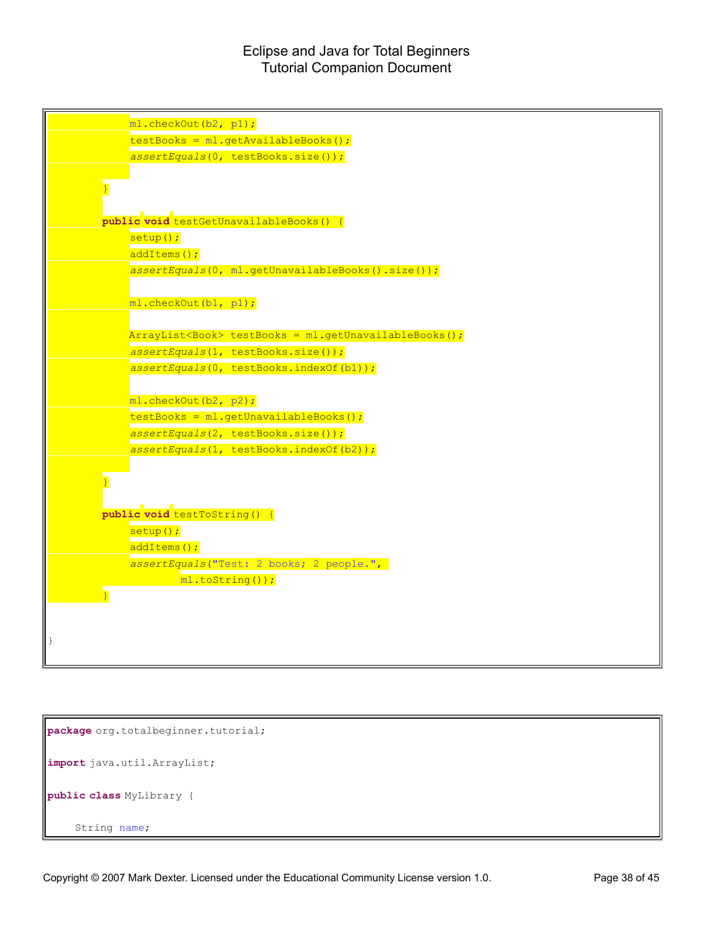

```
package org.totalbeginner.tutorial;
import java.util.ArrayList;
public class MyLibrary {
    String name;
```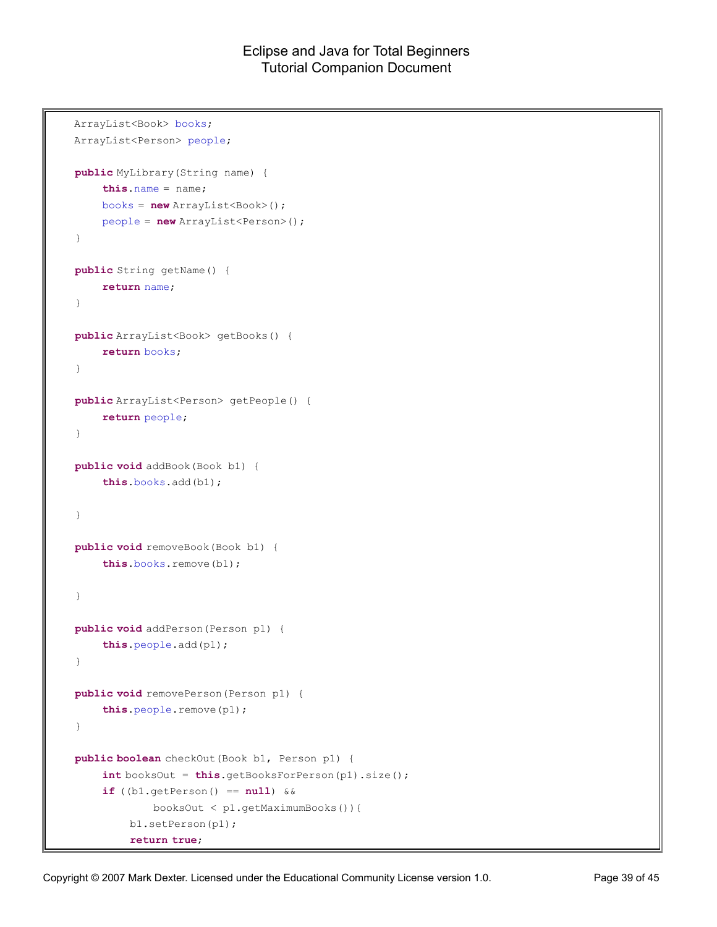```
ArrayList<Book> books;
ArrayList<Person> people;
public MyLibrary(String name) {
    this.name = name;
    books = new ArrayList<Book>();
    people = new ArrayList<Person>();
}
public String getName() {
    return name;
}
public ArrayList<Book> getBooks() {
    return books;
}
public ArrayList<Person> getPeople() {
    return people;
}
public void addBook(Book b1) {
    this.books.add(b1);
}
public void removeBook(Book b1) {
    this.books.remove(b1);
}
public void addPerson(Person p1) {
    this.people.add(p1);
}
public void removePerson(Person p1) {
    this.people.remove(p1);
}
public boolean checkOut(Book b1, Person p1) {
    int booksOut = this.getBooksForPerson(p1).size();
    if ((b1.getPerson() == null) &&
            booksOut < p1.getMaximumBooks()){
        b1.setPerson(p1);
         return true;
```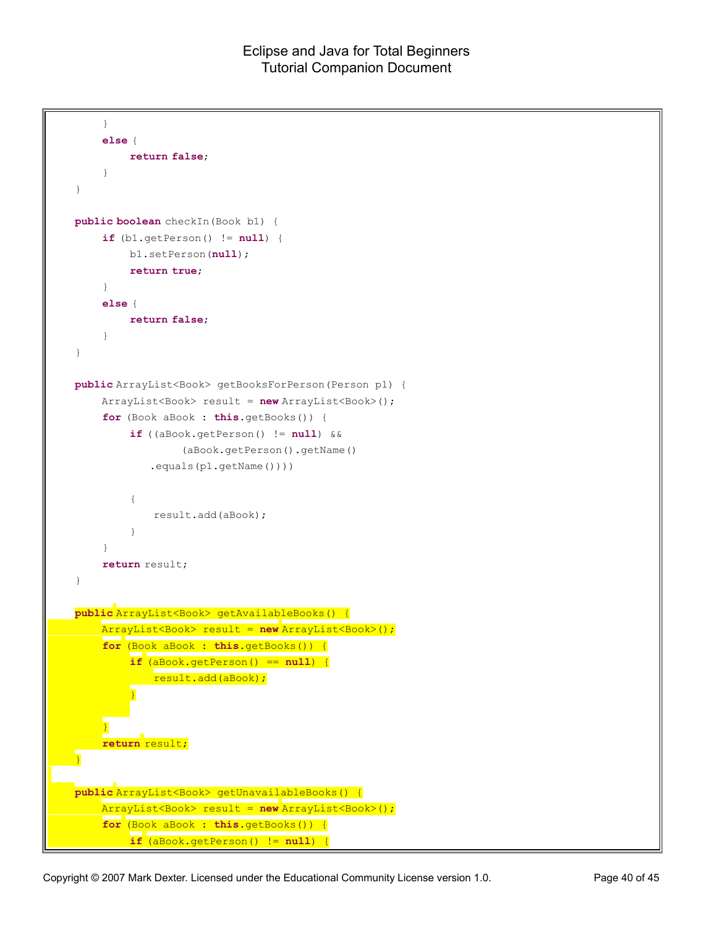```
}
    else {
        return false;
    }
}
public boolean checkIn(Book b1) {
    if (b1.getPerson() != null) {
        b1.setPerson(null);
         return true;
    }
    else {
        return false;
    }
}
public ArrayList<Book> getBooksForPerson(Person p1) {
    ArrayList<Book> result = new ArrayList<Book>();
    for (Book aBook : this.getBooks()) {
         if ((aBook.getPerson() != null) && 
                 (aBook.getPerson().getName()
            .equals(p1.getName())))
         {
             result.add(aBook);
         }
    }
    return result;
}
public ArrayList<Book> getAvailableBooks() {
    ArrayList<Book> result = new ArrayList<Book>();
    for (Book aBook : this.getBooks()) {
         if (aBook.getPerson() == null) {
           result.add(aBook);
         }
     }
    return result;
}
public ArrayList<Book> getUnavailableBooks() {
    ArrayList<Book> result = new ArrayList<Book>();
    for (Book aBook : this.getBooks()) {
         if (aBook.getPerson() != null) {
```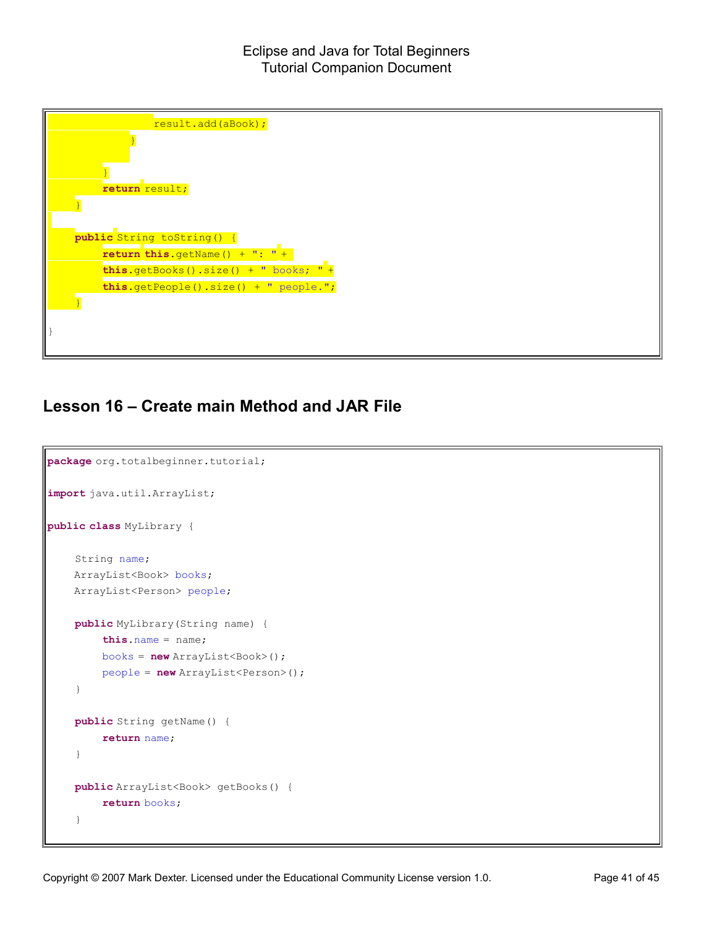

### **Lesson 16 – Create main Method and JAR File**

```
package org.totalbeginner.tutorial;
import java.util.ArrayList;
public class MyLibrary {
    String name;
    ArrayList<Book> books;
    ArrayList<Person> people;
    public MyLibrary(String name) {
        this.name = name;
        books = new ArrayList<Book>();
        people = new ArrayList<Person>();
    }
    public String getName() {
        return name;
    }
    public ArrayList<Book> getBooks() {
        return books;
    }
```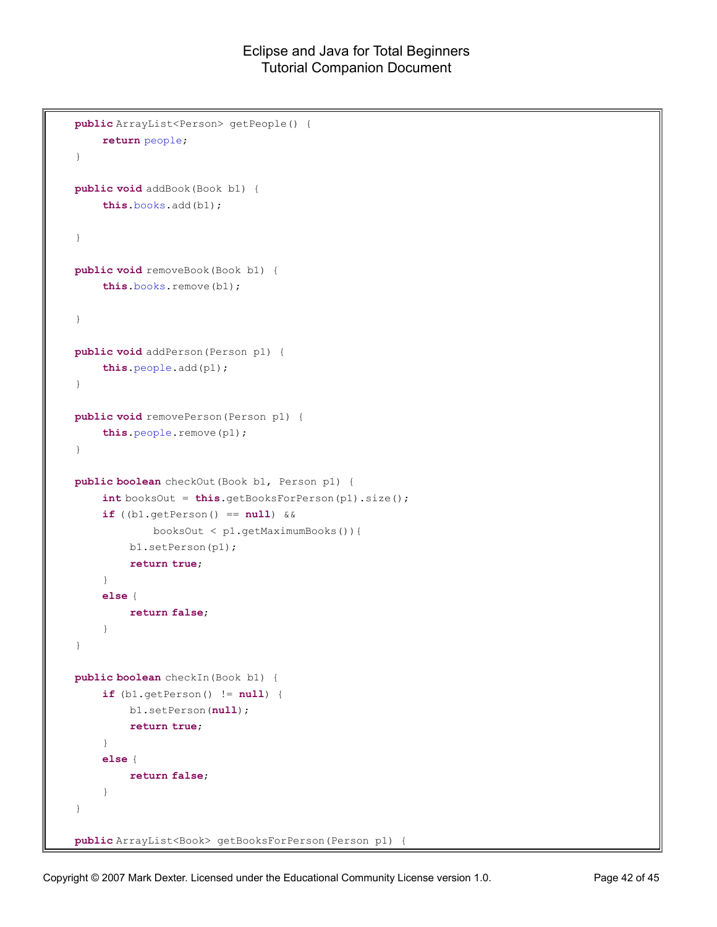```
public ArrayList<Person> getPeople() {
    return people;
}
public void addBook(Book b1) {
    this.books.add(b1);
}
public void removeBook(Book b1) {
    this.books.remove(b1);
}
public void addPerson(Person p1) {
    this.people.add(p1);
}
public void removePerson(Person p1) {
    this.people.remove(p1);
}
public boolean checkOut(Book b1, Person p1) {
    int booksOut = this.getBooksForPerson(p1).size();
    if ((b1.getPerson() == null) &&
            booksOut < p1.getMaximumBooks()){
        b1.setPerson(p1);
        return true;
    }
    else {
        return false;
    }
}
public boolean checkIn(Book b1) {
    if (b1.getPerson() != null) {
        b1.setPerson(null);
        return true;
    }
    else {
        return false;
    }
}
public ArrayList<Book> getBooksForPerson(Person p1) {
```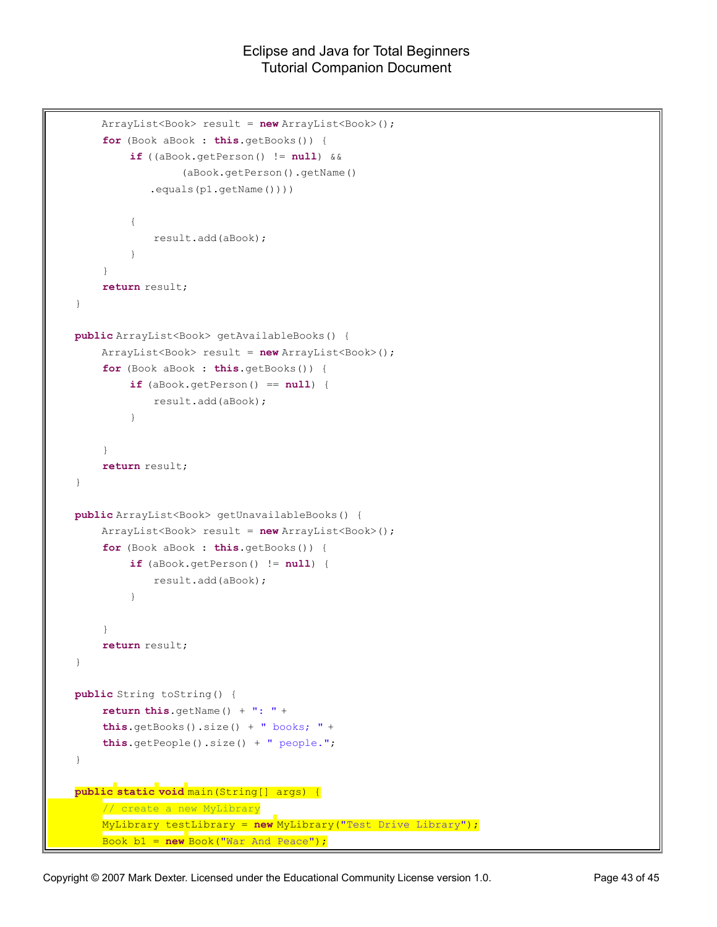```
ArrayList<Book> result = new ArrayList<Book>();
    for (Book aBook : this.getBooks()) {
         if ((aBook.getPerson() != null) && 
                 (aBook.getPerson().getName()
            .equals(p1.getName())))
         {
            result.add(aBook);
         }
    }
    return result;
}
public ArrayList<Book> getAvailableBooks() {
    ArrayList<Book> result = new ArrayList<Book>();
    for (Book aBook : this.getBooks()) {
         if (aBook.getPerson() == null) {
             result.add(aBook);
         }
    }
    return result;
}
public ArrayList<Book> getUnavailableBooks() {
    ArrayList<Book> result = new ArrayList<Book>();
    for (Book aBook : this.getBooks()) {
         if (aBook.getPerson() != null) {
            result.add(aBook);
         }
    }
    return result;
}
public String toString() {
    return this.getName() + ": " + 
    this.getBooks().size() + " books; " +
    this.getPeople().size() + " people.";
}
public static void main(String[] args) {
    // create a new MyLibrary
    MyLibrary testLibrary = new MyLibrary("Test Drive Library");
    Book b1 = new Book("War And Peace");
```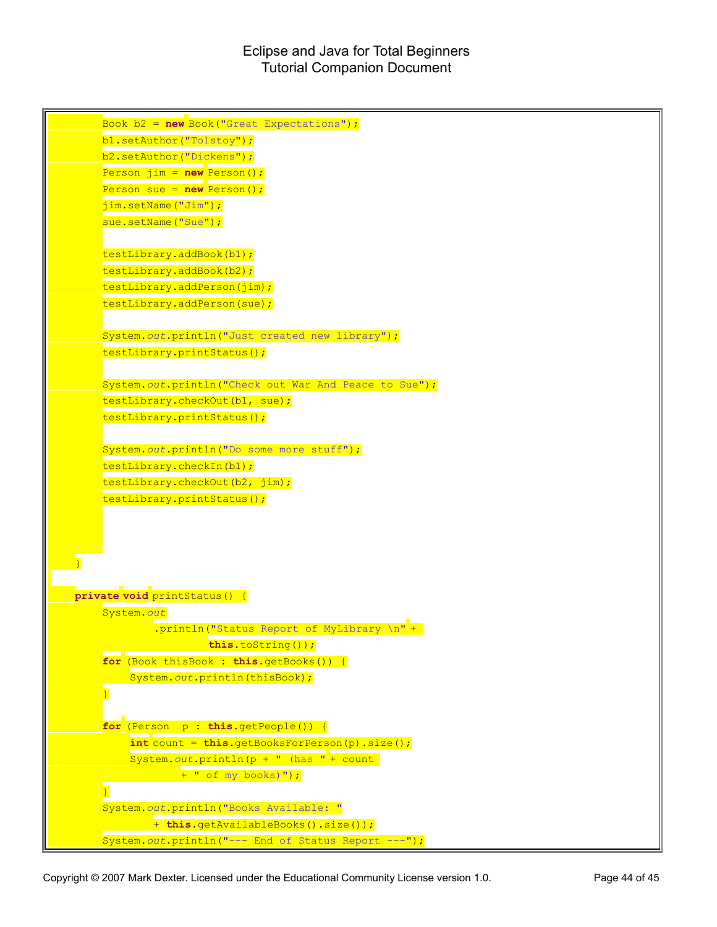